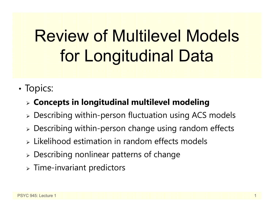# Review of Multilevel Models for Longitudinal Data

•• Topics:

### **Concepts in longitudinal multilevel modeling**

- Describing within-person fluctuation using ACS models
- Describing within-person change using random effects
- $\triangleright$  Likelihood estimation in random effects models
- Describing nonlinear patterns of change
- $\triangleright$  Time-invariant predictors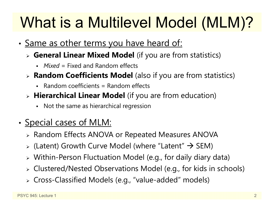# What is a Multilevel Model (MLM)?

- •• <u>Same as other terms you have heard of:</u>
	- **General Linear Mixed Model** (if you are from statistics)
		- *Mixed* = Fixed and Random effects
	- **Random Coefficients Model** (also if you are from statistics)
		- Random coefficients = Random effects
	- **Hierarchical Linear Model** (if you are from education)
		- Not the same as hierarchical regression
- •• <u>Special cases of MLM:</u>
	- Random Effects ANOVA or Repeated Measures ANOVA
	- $\triangleright$  (Latent) Growth Curve Model (where "Latent"  $\rightarrow$  SEM)
	- Within-Person Fluctuation Model (e.g., for daily diary data)
	- Clustered/Nested Observations Model (e.g., for kids in schools)
	- Cross-Classified Models (e.g., "value-added" models)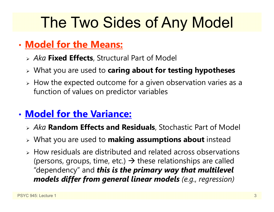### The Two Sides of Any Model

### • **Model for the Means:**

- *Aka* **Fixed Effects**, Structural Part of Model
- What you are used to **caring about for testing hypotheses**
- $\triangleright$  How the expected outcome for a given observation varies as a function of values on predictor variables

### • **Model for the Variance:**

- *Aka* **Random Effects and Residuals**, Stochastic Part of Model
- What you are used to **making assumptions about** instead
- $\triangleright$  How residuals are distributed and related across observations (persons, groups, time, etc.)  $\rightarrow$  these relationships are called "dependency" and *this is the primary way that multilevel models differ from general linear models (e.g., regression)*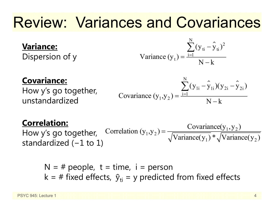### Review: Variances and Covariances

#### **Variance:**

Dispersion of y

Variance 
$$
(y_t) = \frac{\sum_{i=1}^{N} (y_{ti} - \hat{y}_{ti})^2}{N - k}
$$

#### **Covariance:**

How y's go together, unstandardized

Covariance 
$$
(y_1, y_2) = \frac{\sum_{i=1}^{N} (y_{1i} - \hat{y}_{1i})(y_{2i} - \hat{y}_{2i})}{N - k}
$$

#### **Correlation:**

How y's go together, standardized ( <sup>−</sup>1 to 1)  $_1$ ,  $y_2$ ) =  $\frac{\text{covariance}(y_1, y_2)}{\sqrt{x_1 + \cdots + x_n}}$  $\text{Correlation } (y_1, y_2) = \frac{\text{Covariance}(y_1, y_2)}{\sqrt{\text{Variance}(y_1)} * \sqrt{\text{Variance}(y_2)}}$ ═

N = # people, t = time, i = person  
k = # fixed effects, 
$$
\hat{y}_{ti}
$$
 = y predicted from fixed effects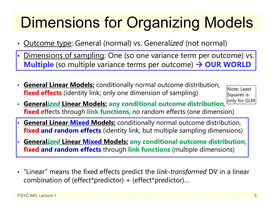# Dimensions for Organizing Models

- Outcome type: General (normal) vs. General*ized* (not normal)
- •• <u>Dimensions of sampling</u>: One (so one variance term per outcome) vs. **Multiple** (so multiple variance terms per outcome) → OUR WORLD
- **General Linear Models:** conditionally normal outcome distribution, **fixed effects** (identity link; only one dimension of sampling)

Note: Least Squares is only for GLM

- **General***ized* **Linear Models: any conditional outcome distribution**, **fixed** effects through **link functions**, no random effects (one dimension)
- • **General Linear Mixed Models:** conditionally normal outcome distribution, **fixed and random effects** (identity link, but multiple sampling dimensions)
- • **General***ized* **Linear Mixed Models: any conditional outcome distribution**, **fixed and random effects** through **link functions** (multiple dimensions)
- "Linear" means the fixed effects predict the *link-transformed* DV in a linear combination of (effect\*predictor) + (effect\*predictor)…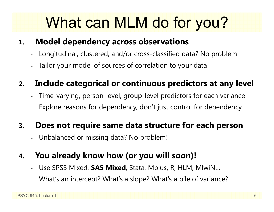## What can MLM do for you?

#### **1.Model dependency across observations**

- •Longitudinal, clustered, and/or cross-classified data? No problem!
- Tailor your model of sources of correlation to your data

#### **2.Include categorical or continuous predictors at any level**

- •Time-varying, person-level, group-level predictors for each variance
- •Explore reasons for dependency, don't just control for dependency

#### **3.Does not require same data structure for each person**

•Unbalanced or missing data? No problem!

#### **4.You already know how (or you will soon)!**

- •Use SPSS Mixed, **SAS Mixed**, Stata, Mplus, R, HLM, MlwiN…
- •What's an intercept? What's a slope? What's a pile of variance?

•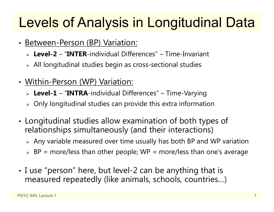### Levels of Analysis in Longitudinal Data

- •• Between-Person (BP) Variation:
	- **Level-2** "**INTER**-individual Differences" Time-Invariant
	- $\triangleright$  All longitudinal studies begin as cross-sectional studies
- •• <u>Within-Person (WP) Variation:</u>
	- **Level-1** "**INTRA**-individual Differences" Time-Varying
	- $\triangleright$  Only longitudinal studies can provide this extra information
- • Longitudinal studies allow examination of both types of relationships simultaneously (and their interactions)
	- $\triangleright$  Any variable measured over time usually has both BP and WP variation
	- $\triangleright$  BP = more/less than other people; WP = more/less than one's average
- • I use "person" here, but level-2 can be anything that is measured repeatedly (like animals, schools, countries…)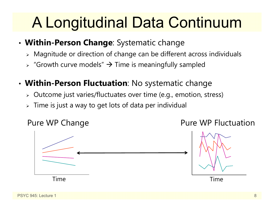## A Longitudinal Data Continuum

- • **Within-Person Change**: Systematic change
	- $\triangleright$  Magnitude or direction of change can be different across individuals
	- $\triangleright$  "Growth curve models"  $\rightarrow$  Time is meaningfully sampled
- • **Within-Person Fluctuation**: No systematic change
	- $\triangleright$   $\,$  Outcome just varies/fluctuates over time (e.g., emotion, stress)
	- $\triangleright\;$  Time is just a way to get lots of data per individual

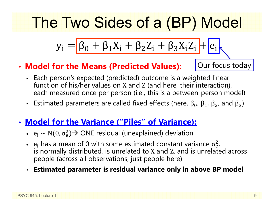## The Two Sides of a (BP) Model

$$
y_i = \boxed{\beta_0 + \beta_1 X_i + \beta_2 Z_i + \beta_3 X_i Z_i} + \boxed{e_i}
$$

•**Model for the Means (Predicted Values):** Our focus today

- Each person's expected (predicted) outcome is a weighted linear function of his/her values on X and Z (and here, their interaction), each measured once per person (i.e., this is a between-person model)
- Estimated parameters are called fixed effects (here,  $β_0$ ,  $β_1$ ,  $β_2$ , and  $β_3$ )
- • **Model for the Variance ("Piles" of Variance):**
	- $e_i \sim N(0, \sigma_e^2)$  $_{\rm e}^{2})$  $\rightarrow$  ONE residual (unexplained) deviation
	- $e_i$  has a mean of 0 with some estimated constant variance  $\sigma_e^2$  is normally distributed, is unrelated to X and Z, and is unrelated across 2<br>e i people (across all observations, just people here)
	- •**Estimated parameter is residual variance only in above BP model**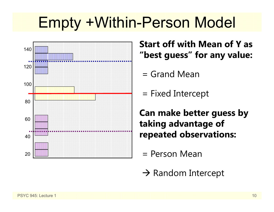### Empty +Within-Person Model



**Start off with Mean of Y as "best guess" for any value:**

- = Grand Mean
- = Fixed Intercept

**Can make better guess by taking advantage of repeated observations:**

- = Person Mean
- $\rightarrow$  Random Intercept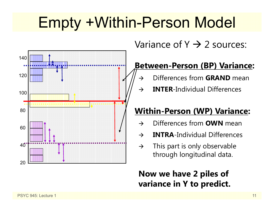## Empty +Within-Person Model



Variance of Y  $\rightarrow$  2 sources:

### **Between-Person (BP) Variance:**

- $\rightarrow$ Differences from **GRAND** mean
- $\rightarrow$ **INTER**-Individual Differences

### **Within-Person (WP) Variance:**

- $\rightarrow$ Differences from **OWN** mean
- $\rightarrow$ **INTRA**-Individual Differences
- $\rightarrow$  This part is only observable through longitudinal data.

### **Now we have 2 piles of variance in Y to predict.**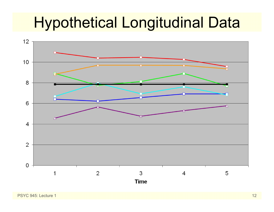### Hypothetical Longitudinal Data

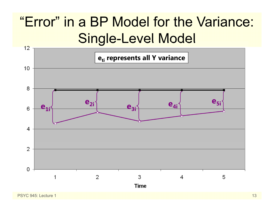### "Error" in a BP Model for the Variance: Single-Level Model

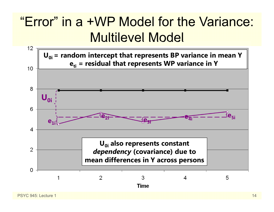### "Error" in a +WP Model for the Variance: Multilevel Model

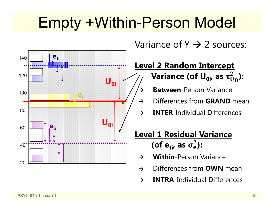### Empty +Within-Person Model

 $\rightarrow$ 



Variance of Y  $\rightarrow$  2 sources:

#### **Level 2 Random Intercept <u>Variance</u> (of U<sub>0i</sub>, as τ** $_0^2$ **):**

- **Between**-Person Variance
- $\rightarrow$ Differences from **GRAND** mean
- $\rightarrow$ **INTER**-Individual Differences

### **Level 1 Residual Variance** (of e<sub>ti</sub>, as  $\sigma_{\rm e}^2$ ):

- $\rightarrow$ **Within**-Person Variance
- $\rightarrow$ Differences from **OWN** mean
- $\rightarrow$ **INTRA**-Individual Differences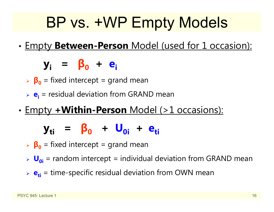## BP vs. +WP Empty Models

•Empty **Between-Person** Model (used for 1 occasion):

**yi <sup>=</sup> β 0 <sup>+</sup> ei**

- **β 0** = fixed intercept = grand mean
- **e**<sub>i</sub> = residual deviation from GRAND mean
- •Empty **+Within-Person** Model (>1 occasions):

### **y**<sub>ti</sub> = β<sub>0</sub> + U<sub>0i</sub> + e<sub>ti</sub>

- **β 0** = fixed intercept = grand mean
- **U**<sub>oi</sub> = random intercept = individual deviation from GRAND mean
- **e**<sub>ti</sub> = time-specific residual deviation from OWN mean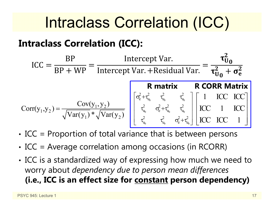### Intraclass Correlation (ICC)

### **Intraclass Correlation (ICC):**

$$
ICC = \frac{BP}{BP + WP} = \frac{Intercept Var.}{Intercept Var. + Residual Var.} = \frac{\tau_{U_0}^2}{\tau_{U_0}^2 + \sigma_e^2}
$$

$$
Corr(y_1, y_2) = \frac{Cov(y_1, y_2)}{\sqrt{Var(y_1)} * \sqrt{Var(y_2)}} \begin{bmatrix} \sigma_e^2 + \tau_{u_0}^2 & \tau_{u_0}^2 & \tau_{u_0}^2 \\ \tau_{u_0}^2 & \sigma_e^2 + \tau_{u_0}^2 & \tau_{u_0}^2 \end{bmatrix} \begin{bmatrix} 1 & ICC & ICC \\ ICC & I & ICC \\ ICC & I & ICC \\ ICC & ICC & I \end{bmatrix}
$$

- • $\bm{\cdot}$  ICC = Proportion of total variance that is between persons
- •• ICC = Average correlation among occasions (in RCORR)
- • ICC is a standardized way of expressing how much we need to worry about *dependency due to person mean differences* **(i.e., ICC is an effect size for constant person dependency)**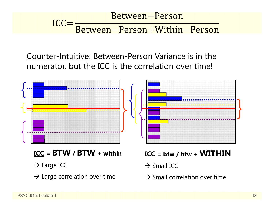#### Between-Person  $ICC =$ Between-Person+Within-Person

Counter-Intuitive: Between-Person Variance is in the numerator, but the ICC is the correlation over time!



- **ICC = BTW / BTW + within**
- $\rightarrow$  Large ICC
- $\rightarrow$  Large correlation over time

**ICC = btw / btw + WITHIN**

- $\rightarrow$  Small ICC
- $\rightarrow$  Small correlation over time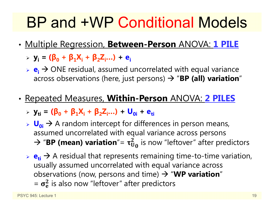### BP and +WP Conditional Models

- • Multiple Regression, **Between-Person** ANOVA: **1 PILE**
	- **yi = (β<sup>0</sup> <sup>+</sup>β1Xi <sup>+</sup>β2Zi…) + ei**
	- **► e<sub>i</sub>** → ONE residual, assumed uncorrelated with equal variance across observations (here, just persons)  $\rightarrow$  "**BP (all) variation**"
- • Repeated Measures, **Within-Person** ANOVA: **2 PILES**
	- **yti = (β<sup>0</sup> <sup>+</sup>β1Xi <sup>+</sup>β2Zi…) + U0i + eti**
	- **► U<sub>0i</sub>** → A random intercept for differences in person means, assumed uncorrelated with equal variance across persons  $\rightarrow$  "**BP (mean) variation**"=  $\tau_{U_0}^2$  is now "leftover" after predictors
	- $\triangleright$   $\mathbf{e}_{\mathbf{t}} \rightarrow$  A residual that represents remaining time-to-time variation, usually assumed uncorrelated with equal variance across observations (now, persons and time)  $\rightarrow$  "WP variation"  $=$   $\sigma_e^2$  is also now "leftover" after predictors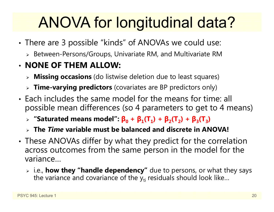# ANOVA for longitudinal data?

- • There are 3 possible "kinds" of ANOVAs we could use:
	- $\triangleright$  Between-Persons/Groups, Univariate RM, and Multivariate RM

### • **NONE OF THEM ALLOW:**

- **Missing occasions** (do listwise deletion due to least squares)
- **Time-varying predictors** (covariates are BP predictors only)
- Each includes the same model for the means for time: all possible mean differences (so 4 parameters to get to 4 means)
	- $\triangleright$  "Saturated means model":  $\beta_0 + \beta_1(T_1) + \beta_2(T_2) + \beta_3(T_3)$
	- **The** *Time* **variable must be balanced and discrete in ANOVA!**
- • These ANOVAs differ by what they predict for the correlation across outcomes from the same person in the model for the variance…
	- i.e., **how they "handle dependency"** due to persons, or what they says the variance and covariance of the  $\mathsf{y}_{\mathsf{t}\mathsf{i}}$  residuals should look like…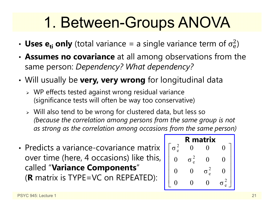### 1. Between-Groups ANOVA

- Uses  $e_{ti}$  only (total variance = a single variance term of  $\sigma_e^2$  $\overline{2}$ )
- • **Assumes no covariance** at all among observations from the same person: *Dependency? What dependency?*
- • Will usually be **very, very wrong** for longitudinal data
	- WP effects tested against wrong residual variance (significance tests will often be way too conservative)
	- Will also tend to be wrong for clustered data, but less so *(because the correlation among persons from the same group is not as strong as the correlation among occasions from the same person)*
- Predicts a variance-covariance matrix over time (here, 4 occasions) like this, called "**Variance Components** "( **R** matrix is TYPE=VC on REPEATED):

| <b>R</b> matrix |          |                              |                          |  |  |
|-----------------|----------|------------------------------|--------------------------|--|--|
| $\frac{2}{e}$   |          |                              | 1                        |  |  |
| ( )             | e        | H                            | $\overline{\phantom{a}}$ |  |  |
| 0               | $\theta$ | $\overline{\mathbf{c}}$<br>e |                          |  |  |
|                 |          |                              |                          |  |  |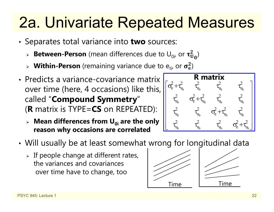### 2a. Univariate Repeated Measures

- • Separates total variance into **two** sources:
	- $\triangleright$  **Between-Person** (mean differences due to  $\mathsf{U}_{0i}$ , or  $\boldsymbol{\tau}_\mathbf{U}^2$  $_{\rm U_0}^2)$
	- $\triangleright$  Within-Person (remaining variance due to  $e_{ti}$ , or  $\sigma_e^2$ )
- Predicts a variance-covariance matrix over time (here, 4 occasions) like this, called "**Compound Symmetry** "( **R** matrix is TYPE=**CS** on REPEATED):
	- **Mean differences from U0i are the only reason why occasions are correlated**



- • Will usually be at least somewhat wrong for longitudinal data
	- $\triangleright$  If people change at different rates, the variances and covariances over time have to change, too



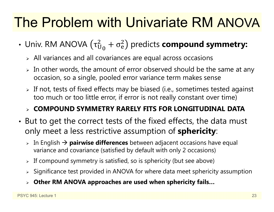### The Problem with Univariate RM ANOVA

- Univ. RM ANOVA  $(\tau^2_{\mathrm{U}}$  $^2_{\mathrm{U}_0} + \sigma^2_{\mathrm{e}}$  $^{2}_{\text{e}}$ ) predicts **compound symmetry:** 
	- $\triangleright$  All variances and all covariances are equal across occasions
	- $\triangleright$  In other words, the amount of error observed should be the same at any occasion, so a single, pooled error variance term makes sense
	- $\triangleright$  If not, tests of fixed effects may be biased (i.e., sometimes tested against too much or too little error, if error is not really constant over time)

### **COMPOUND SYMMETRY RARELY FITS FOR LONGITUDINAL DATA**

- • But to get the correct tests of the fixed effects, the data must only meet a less restrictive assumption of **sphericity**:
	- **⊳** In English → **pairwise differences** between adjacent occasions have equal variance and covariance (satisfied by default with only 2 occasions)
	- $\triangleright$  If compound symmetry is satisfied, so is sphericity (but see above)
	- $\triangleright$  Significance test provided in ANOVA for where data meet sphericity assumption
	- **Other RM ANOVA approaches are used when sphericity fails…**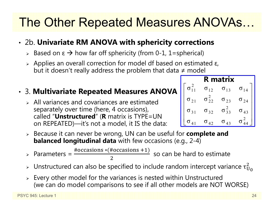### The Other Repeated Measures ANOVAs…

#### • 2b. **Univariate RM ANOVA with sphericity corrections**

- > Based on ε  $\rightarrow$  how far off sphericity (from 0-1, 1=spherical)
- $\triangleright$  Applies an overall correction for model df based on estimated ε, but it doesn't really address the problem that data ≠ model

#### • 3. **Multivariate Repeated Measures ANOVA**

- $\triangleright$  All variances and covariances are estimated separately over time (here, 4 occasions), called "**Unstructured**" ( **R** matrix is TYPE=UN on REPEATED)—it's not a model, it IS the data:
- Because it can never be wrong, UN can be useful for **complete and balanced longitudinal data** with few occasions (e.g., 2-4)

 $\triangleright$  Parameters = #occasions \* (#occasions +1) 2 so can be hard to estimate

- $\triangleright$  Unstructured can also be specified to include random intercept variance  $\tau_{\mathrm{U}}^2$ 2<br>U 0
- $\triangleright$  Every other model for the variances is nested within Unstructured (we can do model comparisons to see if all other models are NOT WORSE)

| R matrix      |                 |                   |               |  |
|---------------|-----------------|-------------------|---------------|--|
|               | $\sigma_{12}$   | $\sigma_{13}$     | $\sigma_{14}$ |  |
| $\sigma_{21}$ | $\sigma^2_{22}$ | $\sigma_{23}$     | $\sigma_{24}$ |  |
| $\sigma_{31}$ | $\sigma_{32}$   | $\sigma_{33}^{2}$ | σ<br>43       |  |
| $0\,$ $41$    | $\sigma_{42}$   | $\sigma_{43}$     |               |  |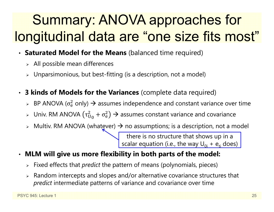### Summary: ANOVA approaches for longitudinal data are "one size fits most"

- •**Saturated Model for the Means** (balanced time required)
	- $\triangleright$  All possible mean differences
	- $\triangleright$  Unparsimonious, but best-fitting (is a description, not a model)
- • **3 kinds of Models for the Variances** (complete data required)
	- $\triangleright$  BP ANOVA ( $\sigma_{\rm e}^2$  $_{{\rm e}}^2$  only)  $\bm{\rightarrow}$  assumes independence and constant variance over time
	- $>$  Univ. RM ANOVA (τ $_\mathrm{U}^2$  $_{\rm U_0}^2 + \sigma_{\rm e}^2$  $_0^2$ )  $\rightarrow$  assumes constant variance and covariance
	- $\triangleright$  Multiv. RM ANOVA (whatever)  $\rightarrow$  no assumptions; is a description, not a model

there is no structure that shows up in a scalar equation (i.e., the way  $\sf{U}_{0i}$  +  $\sf{e}_{\sf{ti}}$  does)  $\sf{}$ 

- $\bullet$  **MLM will give us more flexibility in both parts of the model:**
	- Fixed effects that *predict* the pattern of means (polynomials, pieces)
	- $\triangleright$  Random intercepts and slopes and/or alternative covariance structures that *predict* intermediate patterns of variance and covariance over time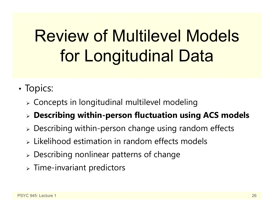# Review of Multilevel Models for Longitudinal Data

- •• Topics:
	- $\triangleright$  Concepts in longitudinal multilevel modeling
	- **Describing within-person fluctuation using ACS models**
	- Describing within-person change using random effects
	- $\triangleright$  Likelihood estimation in random effects models
	- Describing nonlinear patterns of change
	- $\triangleright$  Time-invariant predictors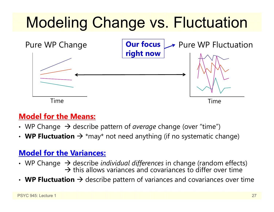# Modeling Change vs. Fluctuation



### **Model for the Means:**

- WP Change  $\;\rightarrow$  describe pattern of *average* change (over "time")
- WP Fluctuation  $\rightarrow$  \*may\* not need anything (if no systematic change)

### **Model for the Variances:**

- WP Change  $\,\rightarrow$  describe *individual differences* in change (random effects)  $\rightarrow$  this allows variances and covariances to differ over time
- $\cdot$  WP Fluctuation  $\rightarrow$  describe pattern of variances and covariances over time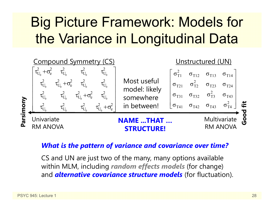### Big Picture Framework: Models for the Variance in Longitudinal Data



#### *What is the pattern of variance and covariance over time?*

CS and UN are just two of the many, many options available within MLM, including *random effects models* (for change) and *alternative covariance structure models* (for fluctuation).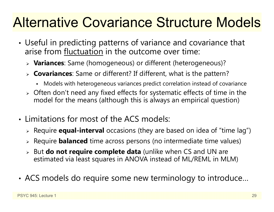### Alternative Covariance Structure Models

- • Useful in predicting patterns of variance and covariance that arise from fluctuation in the outcome over time:
	- **Variances**: Same (homogeneous) or different (heterogeneous)?
	- **Covariances**: Same or different? If different, what is the pattern?
		- n Models with heterogeneous variances predict correlation instead of covariance
	- $\triangleright$  Often don't need any fixed effects for systematic effects of time in the model for the means (although this is always an empirical question)
- Limitations for most of the ACS models:
	- Require **equal-interval** occasions (they are based on idea of "time lag")
	- Require **balanced** time across persons (no intermediate time values)
	- But **do not require complete data** (unlike when CS and UN are estimated via least squares in ANOVA instead of ML/REML in MLM)
- •ACS models do require some new terminology to introduce…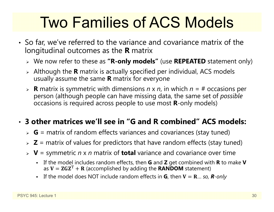## Two Families of ACS Models

- So far, we've referred to the variance and covariance matrix of the longitudinal outcomes as the **R** matrix
	- We now refer to these as **"R-only models"** (use **REPEATED** statement only)
	- Although the **R** matrix is actually specified per individual, ACS models usually assume the same **R** matrix for everyone
	- **R** matrix is symmetric with dimensions *n* x *<sup>n</sup>*, in which *n* = # occasions per person (although people can have missing data, the same set of *possible* occasions is required across people to use most **R**-only models)

### • **3 other matrices we'll see in "G and R combined" ACS models:**

- **G** = matrix of random effects variances and covariances (stay tuned)
- **Z** = matrix of values for predictors that have random effects (stay tuned)
- **V** = symmetric *n* x *n* matrix of **total** variance and covariance over time
	- If the model includes random effects, then **G** and **Z** get combined with **R** to make **V** as  $\mathbf{V} = \mathbf{ZGZ}^{\mathrm{T}} + \mathbf{R}$  (accomplished by adding the  $\mathbf{RANDOM}$  statement)
	- **E** If the model does NOT include random effects in **G**, then **V** = **R**... so, **R**-only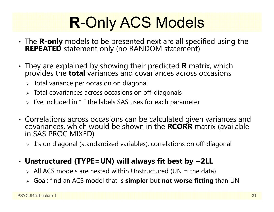# **R**-Only ACS Models

- • The **R-only** models to be presented next are all specified using the **REPEATED** statement only (no RANDOM statement)
- They are explained by showing their predicted **<sup>R</sup>** matrix, which provides the **total** variances and covariances across occasions
	- $\triangleright\;$  Total variance per occasion on diagonal
	- $\triangleright$  Total covariances across occasions on off-diagonals
	- $\triangleright$  I've included in " " the labels SAS uses for each parameter
- Correlations across occasions can be calculated given variances and covariances, which would be shown in the **RCORR** matrix (available in SAS PROC MIXED)
	- 1's on diagonal (standardized variables), correlations on off-diagonal

#### •**Unstructured (TYPE=UN) will always fit best by −2LL**

- $\triangleright$  All ACS models are nested within Unstructured (UN = the data)
- Goal: find an ACS model that is **simpler** but **not worse fitting** than UN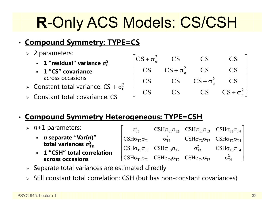## **R**-Only ACS Models: CS/CSH

### • **Compound Symmetry: TYPE=CS**

- 2 parameters:
	- **1 "residual" variance** ો܍
	- **1 "CS" covariance**  across occasions
- $\triangleright$  Constant total variance: CS +  $\sigma_{\rm e}^2$
- Constant total covariance: CS

### • **Compound Symmetry Heterogeneous: TYPE=CSH**

- *<sup>n</sup>*+1 parameters:
	- *n* **separate "Var(***n***)" total variances**  $\sigma_{\text{Tn}}^2$
	- **1 "CSH" total correlationacross occasions**

| $\sigma_{\scriptscriptstyle\rm T1}^2$ |                                                                                                                                                                           | $\text{CSH}\sigma_{\text{T1}}\sigma_{\text{T2}}$ $\text{CSH}\sigma_{\text{T1}}\sigma_{\text{T3}}$ $\text{CSH}\sigma_{\text{T1}}\sigma_{\text{T4}}$                        |
|---------------------------------------|---------------------------------------------------------------------------------------------------------------------------------------------------------------------------|---------------------------------------------------------------------------------------------------------------------------------------------------------------------------|
|                                       |                                                                                                                                                                           | $\text{CSH}\sigma_{\text{T2}}\sigma_{\text{T1}}$ $\sigma_{\text{T2}}^2$ $\text{CSH}\sigma_{\text{T2}}\sigma_{\text{T3}}$ $\text{CSH}\sigma_{\text{T2}}\sigma_{\text{T4}}$ |
|                                       | $\text{CSH}\sigma_{\text{T3}}\sigma_{\text{T1}}$ $\text{CSH}\sigma_{\text{T3}}\sigma_{\text{T2}}$ $\sigma_{\text{T3}}^2$ $\text{CSH}\sigma_{\text{T3}}\sigma_{\text{T4}}$ |                                                                                                                                                                           |
|                                       | $\vert$ CSH $\sigma_{T4}\sigma_{T1}$ CSH $\sigma_{T4}\sigma_{T2}$ CSH $\sigma_{T4}\sigma_{T3}$ $\sigma_{T4}^2$                                                            |                                                                                                                                                                           |

 $CS + \sigma_e^2$  CS CS CS

 $CS$   $CS + \sigma_e^2$  CS CS

 $\begin{bmatrix} \nCS + \sigma_e^2 & CS & CS & CS \\
CS & CS + \sigma_e^2 & CS & CS \\
CS & CS & CS + \sigma_e^2 & CS \\
CS & CS & CS + \sigma_e^2 & CS \\
CS & CS & CS & CS + \sigma_e^2\n\end{bmatrix}$ 

**CS** 

 $CS$   $CS$   $CS + \sigma_e^2$   $CS$ 

2 e

CS CS CS CS

- $\triangleright$  Separate total variances are estimated directly
- Still constant total correlation: CSH (but has non-constant covariances)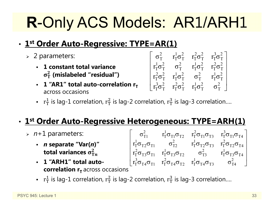# **R**-Only ACS Models: AR1/ARH1

#### •**1st Order Auto-Regressive: TYPE=AR(1)**

- 2 parameters:
	- **1 constant total variance**   $\sigma_T^2$  (mislabeled "residual")
	- **-** 1 "AR1" total auto-correlation r<sub>T</sub> across occasions

$$
\left[ \begin{matrix} \sigma_T^2 & r_T^1 \sigma_T^2 & r_T^2 \sigma_T^2 & r_T^3 \sigma_T^2 \\ r_T^1 \sigma_T^2 & \sigma_T^2 & r_T^1 \sigma_T^2 & r_T^2 \sigma_T^2 \\ r_T^2 \sigma_T^2 & r_T^1 \sigma_T^2 & \sigma_T^2 & r_T^1 \sigma_T^2 \\ r_T^3 \sigma_T^2 & r_T^2 \sigma_T^2 & r_T^1 \sigma_T^2 & \sigma_T^2 \end{matrix} \right]
$$

**•**  $r_T^1$  is lag-1 correlation,  $r_T^2$  is lag-2 correlation,  $r_T^3$  is lag-3 correlation....

#### •**1st Order Auto-Regressive Heterogeneous: TYPE=ARH(1)**

- *<sup>n</sup>*+1 parameters:
	- *n* **separate "Var(***n***)" total variances**  $\sigma_{\text{T}n}^2$
	- **1 "ARH1" total autocorrelation r<sub>T</sub> across occasions**
- $\sigma_{\text{T1}}^2$   $\text{r}_\text{T}^1 \sigma_{\text{T1}} \sigma_{\text{T2}}$   $\text{r}_\text{T}^2 \sigma_{\text{T1}} \sigma_{\text{T3}}$   $\text{r}_\text{T}^3 \sigma_{\text{T1}} \sigma_{\text{T4}}$  $\rm r_I^{1}\sigma_{T2}\sigma_{T1}^{ }$   $\rm \sigma_{T2}^{2}$   $\rm \sigma_{T2}^{1}\sigma_{T2}\sigma_{T3}^{ }$   $\rm \sigma_{T}^{2}\sigma_{T2}\sigma_{T4}^{ }$  $\mathrm{r_{T}^{2}\sigma_{T3}\sigma_{T1}}$   $\mathrm{r_{T}^{1}\sigma_{T3}\sigma_{T2}}$   $\mathrm{\sigma_{T3}^{2}}$   $\mathrm{r_{T}^{1}\sigma_{T3}\sigma_{T4}}$  ${\rm r}_{\rm T}^3 \sigma_{\rm T4} \sigma_{\rm T1}$   ${\rm r}_{\rm T}^2 \sigma_{\rm T4} \sigma_{\rm T2}$   ${\rm r}_{\rm T}^1 \sigma_{\rm T4} \sigma_{\rm T3}$   ${\rm r}_{\rm T4}^2$  $\begin{bmatrix} \sigma_{T1}^2 & r_T^1 \sigma_{T1} \sigma_{T2} & r_T^2 \sigma_{T1} \sigma_{T3} & r_T^3 \sigma_{T1} \sigma_{T4} \ 1 & 2 & 1 \end{bmatrix}$  $\left[ \begin{matrix} r_{T}^{2}\sigma_{T2}\sigma_{T1} & \sigma_{T2}^{2} & r_{T}^{2}\sigma_{T2}\sigma_{T3} & r_{T}^{2}\sigma_{T2}\sigma_{T4} \ r_{T}^{2}\sigma_{T3}\sigma_{T1} & r_{T}^{1}\sigma_{T3}\sigma_{T2} & \sigma_{T3}^{2} & r_{T}^{1}\sigma_{T3}\sigma_{T4} \ r_{T}^{3}\sigma_{T4}\sigma_{T1} & r_{T}^{2}\sigma_{T4}\sigma_{T2} & r_{T}^{1}\sigma_{T4}\sigma_{T3} & \sigma_{T4}^{2} \end{matrix} \right]$ 
	- **•**  $r_T^1$  is lag-1 correlation,  $r_T^2$  is lag-2 correlation,  $r_T^3$  is lag-3 correlation....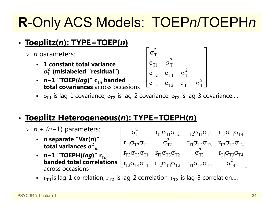### **R**-Only ACS Models: TOEP*n*/TOEPH*<sup>n</sup>*

#### •**Toeplitz(***n***): TYPE=TOEP(***n***)**

- *<sup>n</sup>* parameters:
	- **1 constant total variance**   $\sigma_T^2$  (mislabeled "residual")
	- **∙** *n−*1 "TOEP(*lag*)" c<sub>T*n*</sub> banded **total covariances** across occasions

$$
\begin{bmatrix}\n\sigma_T^2 & & & & \\
c_{T1} & \sigma_T^2 & & & \\
c_{T2} & c_{T1} & \sigma_T^2 & \\
c_{T3} & c_{T2} & c_{T1} & \sigma_T^2\n\end{bmatrix}
$$

-  $\,$   $\,$   $\rm c_{T1}$  is lag-1 covariance,  $\rm c_{T2}$  is lag-2 covariance  $\rm c_{T3}$  is lag-3 covariance….

#### •**Toeplitz Heterogeneous(***n***): TYPE=TOEPH(***n***)**

- *n + (n*−1) parameters: *n* **separate "Var(***n***)" total variances**  $\sigma_{\text{Tn}}^2$ *∙ n−*1 "TOEPH(*lag*)" r<sub>T*n*</sub> **banded total correlations**  $\begin{bmatrix} r_{T1}\sigma_{T2}\sigma_{T1} & \sigma_{T2}^2 & r_{T1}\sigma_{T2}\sigma_{T3} & r_{T2}\sigma_{T2}\sigma_{T4} \ r_{T2}\sigma_{T3}\sigma_{T1} & r_{T1}\sigma_{T3}\sigma_{T2} & \sigma_{T3}^2 & r_{T1}\sigma_{T3}\sigma_{T4} \end{bmatrix}$ <br> **banded total correlations**  $\begin{bmatrix} r_{T2}\sigma_{T3}\sigma_{T1} & r_{T1}\sigma_{T3}\sigma_{T$ across occasions $\sigma_{\text{T1}}^2$  r<sub>t1</sub> $\sigma_{\text{T1}}\sigma_{\text{T2}}$  r<sub>t2</sub> $\sigma_{\text{T1}}\sigma_{\text{T3}}$  r<sub>t3</sub> $\sigma_{\text{T1}}\sigma_{\text{T4}}$  $\rm r_{T1}\sigma_{T2}\sigma_{T1} \qquad \, \sigma_{T2}^2 \qquad \, \rm r_{T1}\sigma_{T2}\sigma_{T3} \quad \, \rm r_{T2}\sigma_{T2}\sigma_{T4}$  $\rm r_{T2}\sigma_{T3}\sigma_{T1}$   $\rm r_{T1}\sigma_{T3}\sigma_{T2}$   $\rm \sigma_{T3}^2$   $\rm \sigma_{T1}\sigma_{T3}\sigma_{T4}$  $\begin{bmatrix} \sigma_{T1}^2 & r_{T1}\sigma_{T1}\sigma_{T2} & r_{T2}\sigma_{T1}\sigma_{T3} & r_{T3}\sigma_{T1}\sigma_{T4} \ 2 & 1 & 1 \end{bmatrix}$ 
	- **•**  $r_{T1}$ is lag-1 correlation,  $r_{T2}$  is lag-2 correlation,  $r_{T3}$  is lag-3 correlation….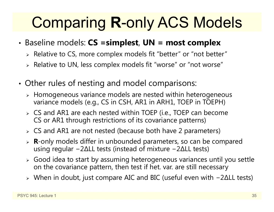# Comparing **R**-only ACS Models

- • Baseline models: **CS =simplest**, **UN = most complex**
	- $\triangleright$  Relative to CS, more complex models fit "better" or "not better"
	- $\triangleright$  Relative to UN, less complex models fit "worse" or "not worse"
- • Other rules of nesting and model comparisons:
	- $\triangleright$  Homogeneous variance models are nested within heterogeneous variance models (e.g., CS in CSH, AR1 in ARH1, TOEP in TOEPH)
	- CS and AR1 are each nested within TOEP (i.e., TOEP can become CS or AR1 through restrictions of its covariance patterns)
	- CS and AR1 are not nested (because both have 2 parameters)
	- **R**-only models differ in unbounded parameters, so can be compared using regular −2∆LL tests (instead of mixture −2∆LL tests)
	- $\triangleright$  Good idea to start by assuming heterogeneous variances until you settle on the covariance pattern, then test if het. var. are still necessary
	- When in doubt, just compare AIC and BIC (useful even with −2∆LL tests)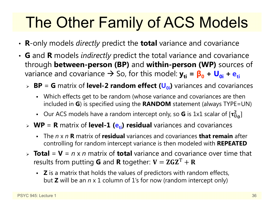# The Other Family of ACS Models

- **R**-only models *directly* predict the **total** variance and covariance
- **G** and **R** models *indirectly* predict the total variance and covariance through **between-person (BP)** and **within-person (WP)** sources of variance and covariance → So, for this model:  $y_{ti}$  =  $β_0 + ∪_{0i} + e_{ti}$ 
	- > BP = G matrix of level-2 random effect (U<sub>0i</sub>) variances and covariances
		- Which effects get to be random (whose variance and covariances are then included in **G**) is specified using the **RANDOM** statement (always TYPE=UN)
		- Our ACS models have a random intercept only, so **G** is 1x1 scalar of  $[\tau_U^2]$  $_{\rm U_0}^2]$
	- **WP** = **R** matrix of **level-1 (e<sub>ti</sub>) residual** variances and covariances
		- ٠ The *n* x *n***R** matrix of **residual** variances and covariances **that remain** after controlling for random intercept variance is then modeled with **REPEATED**
	- > **Total** = **V** = *n* x *n* matrix of **total** variance and covariance over time that results from putting **G** and **R** together:  $\mathbf{V} = \mathbf{ZGZ}^\mathrm{T} + \mathbf{R}$ 
		- **Z** is a matrix that holds the values of predictors with random effects, but **Z** will be an *n* x 1 column of 1's for now (random intercept only)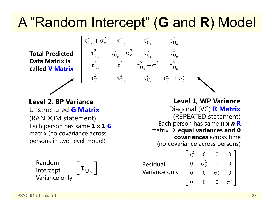# A "Random Intercept" ( **G** and **R**) Model

 $\begin{array}{ccc} 0 & \mathbf{c} & \mathbf{c}_0 & \mathbf{c}_0 \end{array}$ 

 $\tau^2_{\rm U_o}$  +  $\sigma^2_{\rm e}$  +  $\tau^2_{\rm U_o}$  +  $\tau^2_{\rm U_o}$ 

 $\tau^2_{\rm U_o} \qquad \tau^2_{\rm U_o} \qquad \tau^2_{\rm U_o} + \sigma^2_{\rm e} \qquad \tau^2_{\rm U_o}$  $\left[ \begin{matrix} \tau_{U_0}^2 + \sigma_{e}^2 & \tau_{U_0}^2 & \tau_{U_0}^2 & \tau_{U_0}^2 \ \tau_{U_0}^2 & \tau_{U_0}^2 + \sigma_{e}^2 & \tau_{U_0}^2 & \tau_{U_0}^2 \ \tau_{U_0}^2 & \tau_{U_0}^2 & \tau_{U_0}^2 + \sigma_{e}^2 & \tau_{U_0}^2 \ \tau_{U_0}^2 & \tau_{U_0}^2 & \tau_{U_0}^2 & \tau_{U_0}^2 + \sigma_{e}^2 \end{matrix} \right]$ 

 $\tau_{\rm U_{_0}}^2 + \sigma_{\rm e}^2$   $\tau_{\rm U_{_0}}^2$   $\tau_{\rm U_{_0}}^2$   $\tau_{\rm U_{_0}}^2$ 

0  $\sigma_0$  c  $\sigma_0$  c  $\sigma_0$ 

0  $\cup_0$   $\cup_0$   $\cup_0$   $\cup_0$ 

0  $\cup_0$   $\cup_0$   $\cup_0$ 

**Total Predicted Data Matrix is called V Matrix**

#### Unstructured **G Matrix**(RANDOM statement) Each person has same **1 x 1 G** matrix (no covariance across persons in two-level model) **Level 2, BP Variance Level 1, WP Variance**

0 $\left[\, \tau_{\mathrm{U}_{{}_{0}}}^2\,\right]$ Random Intercept Variance only

Diagonal (VC) **R Matrix** (REPEATED statement) Each person has same *n* **x**  *n* **R** matrix **equal variances and 0 covariances** across time (no covariance across persons)

Residual Variance only 2 e 2 e 2 e  $\sigma_{0}^{2}$  0 0 0  $0 \quad \sigma_{\circ}^2 \quad 0 \quad 0$  $0$   $0$   $σ<sup>2</sup>$   $0$ 000 σ  $\left[ \begin{matrix} \sigma_{\rm e}^2 & 0 & 0 & 0 \ 0 & \sigma_{\rm e}^2 & 0 & 0 \ 0 & 0 & \sigma_{\rm e}^2 & 0 \ 0 & 0 & 0 & \sigma_{\rm e}^2 \end{matrix} \right]$ 

2 e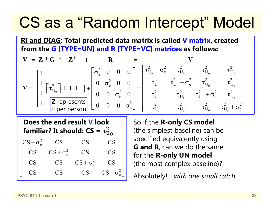# CS as a "Random Intercept" Model

**RI and DIAG: Total predicted data matrix is called V matrix, created from the G [TYPE=UN] and R [TYPE=VC] matrices as follows:**

$$
\mathbf{V} = \mathbf{Z} \cdot \mathbf{G} \cdot \mathbf{Z}^{T} + \mathbf{R} = \mathbf{V}
$$
\n
$$
\mathbf{V} = \begin{bmatrix} 1 \\ 1 \\ 1 \\ 1 \end{bmatrix} \begin{bmatrix} \tau_{U_{0}}^{2} \end{bmatrix} \begin{bmatrix} 1 & 1 & 1 & 1 \end{bmatrix} + \begin{bmatrix} \sigma_{e}^{2} & 0 & 0 & 0 \\ 0 & \sigma_{e}^{2} & 0 & 0 \\ 0 & 0 & \sigma_{e}^{2} & 0 \\ 0 & 0 & \sigma_{e}^{2} & 0 \end{bmatrix} = \begin{bmatrix} \tau_{U_{0}}^{2} + \sigma_{e}^{2} & \tau_{U_{0}}^{2} & \tau_{U_{0}}^{2} & \tau_{U_{0}}^{2} \\ \tau_{U_{0}}^{2} & \tau_{U_{0}}^{2} + \sigma_{e}^{2} & \tau_{U_{0}}^{2} & \tau_{U_{0}}^{2} \\ \tau_{U_{0}}^{2} & \tau_{U_{0}}^{2} + \sigma_{e}^{2} & \tau_{U_{0}}^{2} \\ \tau_{U_{0}}^{2} & \tau_{U_{0}}^{2} & \tau_{U_{0}}^{2} & \tau_{U_{0}}^{2} + \sigma_{e}^{2} \end{bmatrix}
$$

**Does the end result V look**  familiar? It should:  $\mathsf{CS} = \mathsf{\tau}^2_\mathsf{U}$ 2<br>U 0

 $CS + \sigma_e^2$  CS CS CS  $CS$   $CS + \sigma_e^2$  CS CS  $CS$   $CS$   $CS + \sigma_e^2$   $CS$  $CS$  CS CS  $CS + \sigma_e^2$  $CS$  $\begin{bmatrix} \nCS + \sigma_e^2 & CS & CS & CS \\
CS & CS + \sigma_e^2 & CS & CS \\
CS & CS & CS + \sigma_e^2 & CS \\
CS & CS & CS & CS + \sigma_e^2\n\end{bmatrix}$  So if the **R-only CS model**  (the simplest baseline) can be specified equivalently using **G and R**, can we do the same for the **R-only UN model** (the most complex baseline)?

Absolutely! *...with one small catch*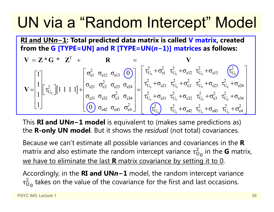# UN via a "Random Intercept" Model

**RI and UN** *n* **<sup>−</sup>1: Total predicted data matrix is called V matrix, created from the G [TYPE=UN] and R [TYPE=UN(** *n* **<sup>−</sup>1)] matrices as follows:**

$$
\mathbf{V} = \mathbf{Z} \cdot \mathbf{G} \cdot \mathbf{Z}^{T} + \mathbf{R} = \mathbf{V}
$$
\n
$$
\mathbf{V} = \begin{bmatrix} 1 \\ 1 \\ 1 \end{bmatrix} \begin{bmatrix} \tau_{U_{0}}^{2} \end{bmatrix} \begin{bmatrix} 1 & 1 & 1 & 1 \end{bmatrix} + \begin{bmatrix} \sigma_{e1}^{2} & \sigma_{e13} & \sigma_{e13} & \sigma_{e13} \\ \sigma_{e21} & \sigma_{e23}^{2} & \sigma_{e24} \\ \sigma_{e31} & \sigma_{e32} & \sigma_{e33}^{2} \\ \sigma_{e42} & \sigma_{e43} & \sigma_{e4}^{2} \end{bmatrix} = \begin{bmatrix} \tau_{U_{0}}^{2} + \sigma_{e1}^{2} & \tau_{U_{0}}^{2} + \sigma_{e12} & \tau_{U_{0}}^{2} + \sigma_{e13} & \tau_{U_{0}}^{2} + \sigma_{e24} \\ \tau_{U_{0}}^{2} + \sigma_{e21} & \tau_{U_{0}}^{2} + \sigma_{e22} & \tau_{U_{0}}^{2} + \sigma_{e23} & \tau_{U_{0}}^{2} + \sigma_{e24} \\ \tau_{U_{0}}^{2} + \sigma_{e31} & \tau_{U_{0}}^{2} + \sigma_{e32} & \tau_{U_{0}}^{2} + \sigma_{e33} & \tau_{U_{0}}^{2} + \sigma_{e34} \\ \tau_{U_{0}}^{2} & \tau_{U_{0}}^{2} + \sigma_{e42} & \tau_{U_{0}}^{2} + \sigma_{e43} & \tau_{U_{0}}^{2} + \sigma_{e4}^{2} \end{bmatrix}
$$

This **RI and UN** *n* **<sup>−</sup>1 model** is equivalent to (makes same predictions as) the **R-only UN model**. But it shows the *residual* (not total) covariances.

Because we can't estimate all possible variances and covariances in the **R** matrix and also estimate the random intercept variance  $\tau_\mathrm{U}^2$  $^2_{\mathrm{U}_\mathrm{0}}$  in the **G** matrix, we have to eliminate the last **R** matrix covariance by setting it to 0.

Accordingly, in the **RI and UN** *n* **<sup>−</sup>1** model, the random intercept variance  $\tau_{\rm U}$  $_{\rm U_0}^2$  takes on the value of the covariance for the first and last occasions.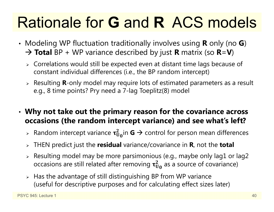# Rationale for **G** and **R** ACS models

- • Modeling WP fluctuation traditionally involves using **R** only (no **G**) **Total** BP + WP variance described by just **R** matrix (so **R**=**V**)
	- $\triangleright$  Correlations would still be expected even at distant time lags because of constant individual differences (i.e., the BP random intercept)
	- Resulting **R**-only model may require lots of estimated parameters as a result e.g., 8 time points? Pry need a 7-lag Toeplitz(8) model
- • **Why not take out the primary reason for the covariance across occasions (the random intercept variance) and see what's left?**
	- $\triangleright$  Random intercept variance  $\tau^2_{\mathrm{U_0}}$ in **G**  $\rightarrow$  control for person mean differences
	- THEN predict just the **residual** variance/covariance in **R**, not the **total**
	- $\triangleright$  Resulting model may be more parsimonious (e.g., maybe only lag1 or lag2  $\,$ occasions are still related after removing  $\boldsymbol{\tau_{U_0}^2}$  as a source of covariance)
	- $\triangleright$  Has the advantage of still distinguishing BP from WP variance (useful for descriptive purposes and for calculating effect sizes later)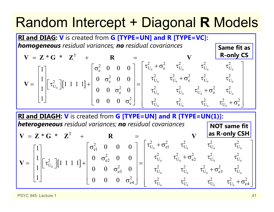## Random Intercept + Diagonal **R** Models

| RI and DIAG: V is created from G [TYPE=UN] and R [TYPE=VC]:                                                                                                                                                                                                                                                                                                                                                                                                                                                                                                                                                             |             |           |
|-------------------------------------------------------------------------------------------------------------------------------------------------------------------------------------------------------------------------------------------------------------------------------------------------------------------------------------------------------------------------------------------------------------------------------------------------------------------------------------------------------------------------------------------------------------------------------------------------------------------------|-------------|-----------|
| homogeneous residual variances; no residual covariances                                                                                                                                                                                                                                                                                                                                                                                                                                                                                                                                                                 | Same fit as |           |
| $V = Z * G * Z^{T} + R = V$                                                                                                                                                                                                                                                                                                                                                                                                                                                                                                                                                                                             | R           | R-only CS |
| $V = \begin{bmatrix} 1 \\ 1 \\ 1 \end{bmatrix} \begin{bmatrix} \tau_{U_0}^{2} \end{bmatrix} [1 \ 1 \ 1 \ 1] + \begin{bmatrix} \sigma_e^{2} & 0 & 0 & 0 \\ 0 & \sigma_e^{2} & 0 & 0 \\ 0 & 0 & \sigma_e^{2} & 0 \\ 0 & 0 & \sigma_e^{2} & 0 \end{bmatrix} = \begin{bmatrix} \tau_{U_0}^{2} + \sigma_e^{2} & \tau_{U_0}^{2} & \tau_{U_0}^{2} & \tau_{U_0}^{2} \\ \tau_{U_0}^{2} & \tau_{U_0}^{2} + \sigma_e^{2} & \tau_{U_0}^{2} & \tau_{U_0}^{2} \\ \tau_{U_0}^{2} & \tau_{U_0}^{2} & \tau_{U_0}^{2} & \tau_{U_0}^{2} \\ \tau_{U_0}^{2} & \tau_{U_0}^{2} & \tau_{U_0}^{2} & \tau_{U_0}^{2} + \sigma_e^{2} \end{bmatrix}$ |             |           |

**RI and DIAGH: V** is created from **G [TYPE=UN] and R [TYPE=UN(1)]:** *heterogeneous residual variances; no residual covariances* **NOT same fit** 

$$
\mathbf{V} = \mathbf{Z} \cdot \mathbf{G} \cdot \mathbf{Z}^{\mathrm{T}} + \mathbf{R} = \begin{bmatrix} 1 \\ 1 \\ 1 \\ 1 \end{bmatrix} \begin{bmatrix} \tau_{U_0}^2 \end{bmatrix} \begin{bmatrix} 1 & 1 & 1 & 1 \end{bmatrix} + \begin{bmatrix} \sigma_{e1}^2 & 0 & 0 & 0 \\ 0 & \sigma_{e2}^2 & 0 & 0 \\ 0 & 0 & \sigma_{e3}^2 & 0 \\ 0 & 0 & 0 & \sigma_{e4}^2 \end{bmatrix} = \begin{bmatrix} \tau_{U_0}^2 + \sigma_{e1}^2 & \tau_{U_0}^2 & \tau_{U_0}^2 & \tau_{U_0}^2 \\ \tau_{U_0}^2 & \tau_{U_0}^2 + \sigma_{e2}^2 & \tau_{U_0}^2 & \tau_{U_0}^2 \\ \tau_{U_0}^2 & \tau_{U_0}^2 & \tau_{U_0}^2 & \tau_{U_0}^2 \\ \tau_{U_0}^2 & \tau_{U_0}^2 & \tau_{U_0}^2 & \tau_{U_0}^2 \\ \end{bmatrix}
$$

PSYC 945: Lecture 1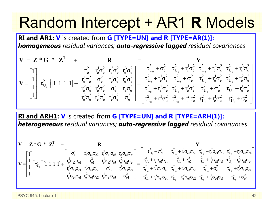# Random Intercept + AR1 **R** Models

**RI and AR1: V** is created from **G [TYPE=UN] and R [TYPE=AR(1)]:** *homogeneous residual variances; auto-regressive lagged residual covariances*

$$
\mathbf{V} = \begin{bmatrix} 1 \\ 1 \\ 1 \end{bmatrix} \begin{bmatrix} \tau_{U_0}^2 \end{bmatrix} \begin{bmatrix} 1 & 1 & 1 & 1 \end{bmatrix} + \begin{bmatrix} \sigma_e^2 & r_e^1 \sigma_e^2 & r_e^2 \sigma_e^2 & r_e^1 \sigma_e^2 & \sigma_e^2 \end{bmatrix} = \begin{bmatrix} \tau_{U_0}^2 + \sigma_e^2 & \tau_{U_0}^2 + r_e^1 \sigma_e^2 & \tau_{U_0}^2 + r_e^2 \sigma_e^2 & \tau_{U_0}^2 + r_e^3 \sigma_e^2 \end{bmatrix}
$$

$$
\mathbf{V} = \begin{bmatrix} 1 \\ 1 \\ 1 \end{bmatrix} \begin{bmatrix} \tau_{U_0}^2 \end{bmatrix} \begin{bmatrix} 1 & 1 & 1 & 1 \end{bmatrix} + \begin{bmatrix} \tau_{e}^2 & \tau_{e}^2 & r_e^2 \sigma_e^2 & r_e^2 \sigma_e^2 & r_e^2 \sigma_e^2 & r_e^2 \sigma_e^2 & r_e^1 \sigma_e^2 & r_e^1 \sigma_e^2 & r_e^1 \sigma_e^2 & r_e^1 \sigma_e^2 & r_e^1 \sigma_e^2 & r_e^1 \sigma_e^2 & r_e^1 \sigma_e^2 & r_e^1 \sigma_e^2 & r_e^1 \sigma_e^2 & r_e^1 \sigma_e^2 & r_e^1 \sigma_e^2 & r_e^1 \sigma_e^2 & r_e^1 \sigma_e^2 & r_e^1 \sigma_e^2 & r_e^1 \sigma_e^2 & r_e^1 \sigma_e^2 & r_e^1 \sigma_e^2 & r_e^1 \sigma_e^2 & r_e^1 \sigma_e^2 & r_e^1 \sigma_e^2 & r_e^1 \sigma_e^2 & r_e^1 \sigma_e^2 & r_e^1 \sigma_e^2 & r_e^1 \sigma_e^2 & r_e^1 \sigma_e^2 & r_e^1 \sigma_e^2 & r_e^1 \sigma_e^2 & r_e^1 \sigma_e^2 & r_e^1 \sigma_e^2 & r_e^1 \sigma_e^2 & r_e^1 \sigma_e^2 & r_e^1 \sigma_e^2 & r_e^1 \sigma_e^2 & r_e^1 \sigma_e^2 & r_e^1 \sigma_e^2 & r_e^1 \sigma_e^2 & r_e^1 \sigma_e^2 & r_e^1 \sigma_e^2 & r_e^1 \sigma_e^2 & r_e^1 \sigma_e^2 & r_e^1 \sigma_e
$$

**RI and ARH1: V** is created from **G [TYPE=UN] and R [TYPE=ARH(1)]:** *heterogeneous residual variances; auto-regressive lagged residual covariances*

$$
\mathbf{V} = \begin{bmatrix} 1 \\ 1 \\ 1 \end{bmatrix} \begin{bmatrix} \tau_{U_0}^2 \end{bmatrix} [1 \ 1 \ 1 \ 1 \ 1] + \begin{bmatrix} \sigma_{e1}^2 & \tau_e^1 \sigma_{e1} \sigma_{e2} & \tau_e^2 \sigma_{e1} \sigma_{e3} & \tau_e^3 \sigma_{e1} \sigma_{e4} \\ \tau_e^2 \sigma_{e3} \sigma_{e1} & \tau_e^1 \sigma_{e2} \sigma_{e3} & \tau_e^1 \sigma_{e3} \sigma_{e4} \\ \tau_e^3 \sigma_{e4} \sigma_{e1} & \tau_e^2 \sigma_{e4} \sigma_{e2} & \tau_e^1 \sigma_{e4} \sigma_{e3} & \tau_e^1 \sigma_{e3} \sigma_{e4} \end{bmatrix} = \begin{bmatrix} \tau_{U_0}^2 + \sigma_{e1}^2 & \tau_{U_0}^2 + \tau_e^1 \sigma_{e1} \sigma_{e2} & \tau_{U_0}^2 + \tau_e^2 \sigma_{e1} \sigma_{e3} & \tau_{U_0}^2 + \tau_e^3 \sigma_{e1} \sigma_{e4} \\ \tau_{U_0}^2 + \tau_e^1 \sigma_{e2} \sigma_{e1} & \tau_{U_0}^2 + \tau_e^2 \sigma_{e2} \sigma_{e3} & \tau_{U_0}^2 + \tau_e^2 \sigma_{e2} \sigma_{e4} \\ \tau_e^3 \sigma_{e4} \sigma_{e1} & \tau_e^2 \sigma_{e4} \sigma_{e2} & \tau_e^1 \sigma_{e4} \sigma_{e3} & \sigma_{e4}^2 \end{bmatrix} = \begin{bmatrix} \tau_{U_0}^2 + \sigma_{e1}^2 & \tau_{U_0}^2 + \tau_e^1 \sigma_{e1} \sigma_{e2} & \tau_{U_0}^2 + \tau_e^1 \sigma_{e1} \sigma_{e3} & \tau_{U_0}^2 + \tau_e^2 \sigma_{e2} \sigma_{e3} & \tau_{U_0}^2 + \tau_e^2 \sigma_{e2} \sigma_{e4} \\ \tau_{U_0}^2 + \tau_e^3 \sigma_{e4} \sigma_{e1} & \tau_{U_0}^2 + \tau_e^2 \sigma_{e4} \sigma_{e2} & \tau_{U_0}^2 + \tau_e^1 \sigma_{e4} \sigma_{e3} & \tau_{U_0}^2 + \tau
$$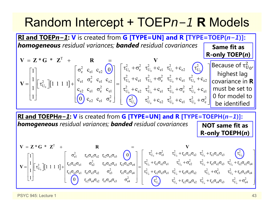#### Random Intercept + TOEP *n −1* **R** Models

**RI and TOEPn−1: V** is created from G [TYPE=UN] and R [TYPE=TOEP(n−1)]: *homogeneous residual variances; banded residual covariances*  $\begin{bmatrix} 1 & 1 & 1 & 1 \end{bmatrix}$ 0 c  $C_0$  c  $C_0$  c  $C_2$  or  $\boldsymbol{0}$  $<sup>0</sup>$ </sup> T  $\begin{array}{ccc} \text{2} & \text{c}_{\text{e1}} & \text{c}_{\text{e2}} \end{array}$  (0)  $\begin{array}{ccc} \text{1} & \tau_{\text{U}_0}^2 + \sigma_{\text{e}}^2 & \tau_{\text{U}_0}^2 + \text{c}_{\text{e1}} & \tau_{\text{U}_0}^2 + \text{c}_{\text{e2}} \end{array}$  ( $\tau_{\text{U}}^2$  $\begin{bmatrix} 2 \\ U_0 \end{bmatrix} [1 \; 1 \; 1 \; 1] + \begin{bmatrix} c_{e1} & \sigma_e^2 & c_{e1} & c_{e2} \\ c_{e2} & c_{e1} & \sigma_e^2 & c_{e1} \end{bmatrix} = \begin{bmatrix} \tau_U^2 \\ \tau_{U}^2 \end{bmatrix}$  $_{\rm e2}$   $\rm c_{\rm e1}$   $\rm \sigma_{\rm e}^2$  $Z^*G^*$ 1  $\sigma_{\rm e}^2$  c<sub>el</sub> c<sub>e2</sub> (0)  $\sigma_{\rm U_0}^2 + \sigma_{\rm e}^2$   $\tau_{\rm U_0}^2 + \sigma_{\rm e}^2$   $\tau_{\rm U_0}^2 + \sigma_{\rm C}^2$  $\begin{array}{ccc} 1 & - \end{array}$  c  $\begin{array}{ccc} 0 & \alpha & \alpha \\ 0 & \alpha & \alpha \end{array}$  c  $\frac{1}{1}$  $\left[\begin{matrix} \tau_{U_0}^2 \end{matrix}\right]$  $\left[\begin{matrix} 1 & 1 & 1 & 1 \end{matrix}\right]$  $+ \left[\begin{matrix} c_1 & c_2 & c_1 \ c_{22} & c_{21} & \sigma_2^2 & c_1 \end{matrix}\right]$  $\begin{bmatrix} 1 \end{bmatrix}$   $\begin{bmatrix} 0 \end{bmatrix}$   $c_{\circ}$   $c_{\circ}$   $c_{\circ}$   $\sigma$  $= L^*G \cdot L^* + K =$  $= \begin{bmatrix} 1 \\ 1 \\ 1 \end{bmatrix} \begin{bmatrix} \tau_{U_0}^2 \end{bmatrix} \begin{bmatrix} 1 & 1 & 1 & 1 \end{bmatrix} + \begin{bmatrix} \sigma_e^2 & c_{e1} & c_{e2} & 0 \\ c_{e1} & \sigma_e^2 & c_{e1} & c_{e2} \\ c_{e2} & c_{e1} & \sigma_e^2 & c_{e1} \\ 0 & c_{e2} & c_{e1} & \sigma_e^2 \end{bmatrix} = \begin{bmatrix} \tau_{U_0}^2 + \sigma_e^2 & \tau_{U_0}^2 + c_{e1} & \tau_{U_0}^2 + c_{e2$  $V = Z * G * Z' + R = V$  $\mathbf{V} = \begin{bmatrix} 1 & 1 & 1 & 1 & 1 & 1 \end{bmatrix} + \begin{bmatrix} 1 & 1 & 1 & 1 & 1 \end{bmatrix} + \begin{bmatrix} 1 & 1 & 1 & 1 & 1 \end{bmatrix} + \begin{bmatrix} 1 & 1 & 1 & 1 & 1 & 1 \end{bmatrix} + \begin{bmatrix} 1 & 1 & 1 & 1 & 1 & 1 \end{bmatrix} + \begin{bmatrix} 1 & 1 & 1 & 1 & 1 & 1 \end{bmatrix} + \begin{bmatrix} 1 & 1 & 1 & 1 & 1 & 1 & 1 \end{bmatrix} + \begin{bmatrix}$ 0  $C_2$   $C_0$   $C_1$   $C_0$   $C_0$  $0 = 0$   $0 = 0$   $0 = 0$   $0 = 0$  $C_{\text{U}_0}^2 + C_{\text{e}1} \quad \tau_{\text{U}_0}^2 + \sigma_{\text{e}}^2 \quad \tau_{\text{U}_0}^2 + C_{\text{e}1} \quad \tau_{\text{U}_0}^2 + C_{\text{e}2}$  $C_{U_0}^2 + C_{e2} \tau_{U_0}^2 + C_{e1} \tau_{U_0}^2 + \sigma_e^2 \tau_{U_0}^2 + C_{e1}$  $\begin{pmatrix} 2 \\ U_0 \end{pmatrix}$   $\tau_{U_0}^2 + c_{e2} \tau_{U_0}^2 + c_{e1} \tau_{U_0}^2 + \sigma_e^2$  $c_{\scriptscriptstyle{\alpha1}}$   $\tau_{\scriptscriptstyle{\text{II}}}$   $+ \sigma_{\scriptscriptstyle{\alpha}}$   $\tau_{\scriptscriptstyle{\text{II}}}$   $+ c_{\scriptscriptstyle{\alpha1}}$   $\tau_{\scriptscriptstyle{\text{II}}}$   $+ c$  $c_{.2}$ ,  $\tau_{\text{II}}$  +  $c_{.1}$ ,  $\tau_{\text{II}}$  +  $\sigma_{.0}$ ,  $\tau_{\text{II}}$  +  $c$  $C_{\alpha2}$   $\tau_{11}$  +  $C$  $\begin{bmatrix} \tau_{U_0}^2 + \sigma_e^2 & \tau_{U_0}^2 + c_{e1} & \tau_{U_0}^2 + c_{e2} & \tau_{U_0}^2 \ \tau_{U_0}^2 + c_{e1} & \tau_{U_0}^2 + \sigma_e^2 & \tau_{U_0}^2 + c_{e1} & \tau_{U_0}^2 + c_{e2} \ \tau_{U_0}^2 + c_{e2} & \tau_{U_0}^2 + c_{e1} & \tau_{U_0}^2 + \sigma_e^2 & \tau_{U_0}^2 + c_{e1} \ \tau_{U_0}^2 & \tau_{U_0}^2 + c_{e2} & \tau$ **Same fit as R-only TOEP( )** *n* Because of  $\tau^z_\mathsf{U}$  $\begin{bmatrix} 2 \\ U_0 \end{bmatrix}$ highest lag covariance in **R** must be set to 0 for model to be identified

**RI and TOEPHn−1: V** is created from G [TYPE=UN] and R [TYPE=TOEPH(n−1)]: *homogeneous residual variances; banded residual covariances* **NOT same fit as R-only TOEPH(** *n* **)**

$$
\mathbf{V} = \begin{bmatrix} 1 \\ 1 \\ 1 \\ 1 \end{bmatrix} \begin{bmatrix} \sigma_{e1}^2 & r_{e1} \sigma_{e1} \sigma_{e2} & r_{e2} \sigma_{e1} \sigma_{e3} & r_{e1} \sigma_{e2} \sigma_{e4} \\ r_{e1} \sigma_{e2} \sigma_{e1} & \sigma_{e2}^2 & r_{e1} \sigma_{e2} \sigma_{e3} & r_{e2} \sigma_{e2} \sigma_{e4} \\ r_{e2} \sigma_{e3} \sigma_{e1} & r_{e1} \sigma_{e3} \sigma_{e2} & r_{e1} \sigma_{e3} \sigma_{e4} \end{bmatrix} = \begin{bmatrix} \tau_{U_0}^2 + \sigma_{e1}^2 & \tau_{U_0}^2 + r_{e1} \sigma_{e1} \sigma_{e2} & \tau_{U_0}^2 + r_{e2} \sigma_{e1} \sigma_{e3} & r_{U_0} \tau_{U_0}^2 + r_{e2} \sigma_{e2} \sigma_{e3} & r_{U_0} \tau_{U_0}^2 + r_{e2} \sigma_{e2} \sigma_{e4} \\ r_{e2} \sigma_{e3} \sigma_{e1} & r_{e1} \sigma_{e3} \sigma_{e2} & r_{e1} \sigma_{e3} \sigma_{e4} \end{bmatrix} = \begin{bmatrix} \tau_{U_0}^2 + \sigma_{e1}^2 & \tau_{U_0}^2 + r_{e1} \sigma_{e1} \sigma_{e2} & \tau_{U_0}^2 + r_{e1} \sigma_{e2} \sigma_{e3} & \tau_{U_0}^2 + r_{e2} \sigma_{e3} \sigma_{e4} \\ r_{U_0}^2 + r_{e2} \sigma_{e3} \sigma_{e1} & \tau_{U_0}^2 + r_{e1} \sigma_{e3} \sigma_{e2} & \tau_{U_0}^2 + r_{e1} \sigma_{e4} \sigma_{e3} & \tau_{U_0}^2 + r_{e1} \sigma_{e4} \sigma_{e3} & \tau_{U_0}^2 + r_{e1} \sigma_{e4} \sigma_{e3} & \tau_{U_0}^2 + r_{e1} \sigma_{e4} \sigma_{e3} & \tau_{U_0}
$$

PSYC 945: Lecture 1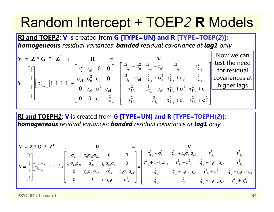## Random Intercept + TOEP *2* **R** Models

**RI and TOEP** *2***: V** is created from **G [TYPE=UN] and R [TYPE=TOEP(** *2***)]:**  *homogeneous residual variances; banded residual covariance at lag1 only*

$$
\mathbf{V} = \mathbf{Z} \cdot \mathbf{G} \cdot \mathbf{Z}^{\mathrm{T}} + \mathbf{R} = \mathbf{V}
$$
  
\n
$$
\mathbf{V} = \begin{bmatrix} 1 \\ 1 \\ 1 \end{bmatrix} [\tau_{U_0}^2][1 \ 1 \ 1 \ 1] + \begin{bmatrix} \sigma_e^2 & c_{e1} & 0 & 0 \\ c_{e1} & \sigma_e^2 & c_{e1} & 0 \\ 0 & c_{e1} & \sigma_e^2 & c_{e1} \\ 0 & 0 & c_{e1} & \sigma_e^2 \end{bmatrix} = \begin{bmatrix} \tau_{U_0}^2 + \sigma_e^2 & \tau_{U_0}^2 + c_{e1} & \tau_{U_0}^2 & \tau_{U_0}^2 \\ \tau_{U_0}^2 + c_{e1} & \tau_{U_0}^2 + c_{e1} & \tau_{U_0}^2 + c_{e1} & \tau_{U_0}^2 \\ \tau_{U_0}^2 & \tau_{U_0}^2 + c_{e1} & \tau_{U_0}^2 + c_{e1} & \tau_{U_0}^2 + c_{e1} \end{bmatrix} \begin{bmatrix} \text{Now we can} \\ \text{to reisidual} \\ \text{covariances at} \\ \text{higher lags} \end{bmatrix}
$$

**RI and TOEPH** *1***: V** is created from **G [TYPE=UN] and R [TYPE=TOEPH(** *2***)]:**  *homogeneous residual variances; banded residual covariance at lag1 only*

$$
\mathbf{V} = \begin{bmatrix} 1 \\ 1 \\ 1 \\ 1 \end{bmatrix} \begin{bmatrix} \tau_{U_0}^2 \end{bmatrix} \begin{bmatrix} 1 & 1 & 1 & 1 \end{bmatrix} + \begin{bmatrix} \sigma_{e1}^2 & \tau_{e1} \sigma_{e2} \sigma_{e1} & \sigma_{e2}^2 & \tau_{e1} \sigma_{e2} \sigma_{e3} & 0 \\ 0 & \tau_{e1} \sigma_{e3} \sigma_{e2} & \sigma_{e3}^2 & \tau_{e1} \sigma_{e3} \sigma_{e4} \end{bmatrix} = \begin{bmatrix} \tau_{U_0}^2 + \sigma_{e1}^2 & \tau_{U_0}^2 + \tau_{e1} \sigma_{e1} \sigma_{e2} & \tau_{U_0}^2 & \tau_{U_0}^2 \\ \tau_{U_0}^2 + \tau_{e1} \sigma_{e2} \sigma_{e1} & \tau_{U_0}^2 + \tau_{e1} \sigma_{e2} \sigma_{e3} & \tau_{U_0}^2 \\ \tau_{U_0}^2 + \tau_{e1} \sigma_{e3} \sigma_{e2} & \tau_{U_0}^2 + \tau_{e1} \sigma_{e3} \sigma_{e2} & \tau_{U_0}^2 + \tau_{e1} \sigma_{e3} \sigma_{e4} \end{bmatrix}
$$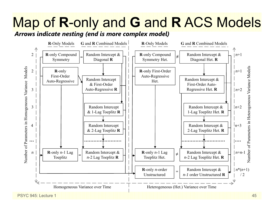# Map of **R**-only and **G** and **R** ACS Models

*Arrows indicate nesting (end is more complex model)*



PSYC 945; Lecture 1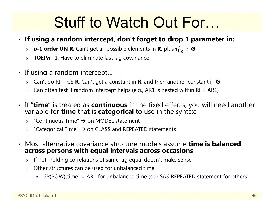# Stuff to Watch Out For…

#### • **If using a random intercept, don't forget to drop 1 parameter in:**

- *<sup>n</sup>***-1 order UN R**: Can't get all possible elements in **R**, plus τ  $^2_{\mathrm{U}_\mathrm{0}}$  in  $\mathsf{G}$
- **TOEP** *n* **− 1**: Have to eliminate last lag covariance
- If using a random intercept…
	- Can't do RI + CS **R**: Can't get a constant in **R**, and then another constant in **G**
	- $\triangleright$   $\;$  Can often test if random intercept helps (e.g., AR1 is nested within RI + AR1)
- If "**time**" is treated as **continuous** in the fixed effects, you will need another variable for **time** that is **categorical** to use in the syntax: variable for **time** that is **categorical** to use in the syntax:
	- $\rightarrow$  "Continuous Time"  $\rightarrow$  on MODEL statement
	- $\triangleright$  "Categorical Time"  $\rightarrow$  on CLASS and REPEATED statements
- Most alternative covariance structure models assume **time is balanced across persons with equal intervals across occasions**
	- $\triangleright$  If not, holding correlations of same lag equal doesn't make sense
	- $\triangleright$  Other structures can be used for unbalanced time
		- SP(POW)(time) = AR1 for unbalanced time (see SAS REPEATED statement for others)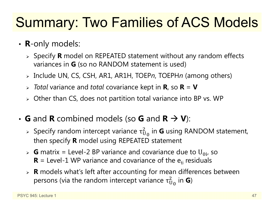# Summary: Two Families of ACS Models

- **R**-only models:
	- Specify **R** model on REPEATED statement without any random effects variances in **G** (so no RANDOM statement is used)
	- Include UN, CS, CSH, AR1, AR1H, TOEP *<sup>n</sup>*, TOEPH*n* (among others)
	- *Total* variance and *total* covariance kept in **R**, so **R** = **V**
	- $\triangleright$  Other than CS, does not partition total variance into BP vs. WP
- $\cdot$  **G** and **R** combined models (so **G** and  $\mathbf{R} \to \mathbf{V}$ ):
	- » Specify random intercept variance  $\tau^2_{\mathrm{U}}$  $^2_{{\mathsf U}_0}$  in **G** using RANDOM statement, then specify **R** model using REPEATED statement
	- $\triangleright$  **G** matrix = Level-2 BP variance and covariance due to U<sub>0i</sub>, so  **= Level-1 WP variance and covariance of the**  $e_{ti}$  **residuals**
	- **R** models what's left after accounting for mean differences between persons (via the random intercept variance  $\tau_{\mathrm{U}}^2$  $^2_{\mathrm{U}_\mathrm{0}}$  in **G**)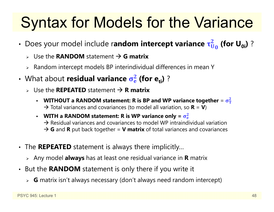# Syntax for Models for the Variance

- Does your model include r**andom intercept variance τ**ά  $\frac{2}{\bm{\mathsf{U}}_{\bm{0}}}$  (for U<sub>0i</sub>) ?
	- Use the **RANDOM** statement **G matrix**
	- $\triangleright$  Random intercept models BP interindividual differences in mean Y
- **What about residual variance**  $\sigma_{\rm e}^2$ <mark>2</mark> (for e<sub>ti</sub>) ?
	- Use the **REPEATED** statement **R matrix**
		- n • WITHOUT a RANDOM statement: R is BP and WP variance together = σ<del>՞ր</del>  $\mathbf 2$  $\rightarrow$  Total variances and covariances (to model all variation, so **R** = **V**)
		- n **• WITH a RANDOM statement: R is WP variance only**  $= \sigma_e^2$  $\mathbf 2$  $\rightarrow$  Residual variances and covariances to model WP intraindividual variation → G and R put back together = V matrix of total variances and covariances
- The **REPEATED** statement is always there implicitly…
	- Any model **always** has at least one residual variance in **R** matrix
- But the **RANDOM** statement is only there if you write it
	- **G** matrix isn't always necessary (don't always need random intercept)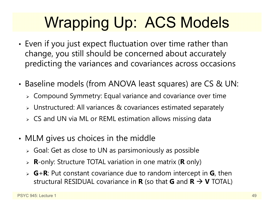# Wrapping Up: ACS Models

- • $\bm{\cdot}$  Even if you just expect fluctuation over time rather than change, you still should be concerned about accurately predicting the variances and covariances across occasions
- • Baseline models (from ANOVA least squares) are CS & UN:
	- Compound Symmetry: Equal variance and covariance over time
	- $\triangleright$  Unstructured: All variances & covariances estimated separately
	- $\triangleright\;$  CS and UN via ML or REML estimation allows missing data
- • MLM gives us choices in the middle
	- $\triangleright$  Goal: Get as close to UN as parsimoniously as possible
	- **R**-only: Structure TOTAL variation in one matrix ( **R** only)
	- **G** + **R**: Put constant covariance due to random intercept in **G**, then structural RESIDUAL covariance in **R** (so that **G** and **R V** TOTAL)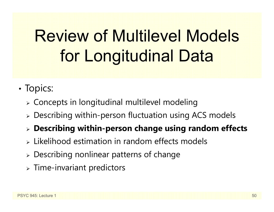# Review of Multilevel Models for Longitudinal Data

- •• Topics:
	- $\triangleright$  Concepts in longitudinal multilevel modeling
	- Describing within-person fluctuation using ACS models
	- **Describing within-person change using random effects**
	- $\triangleright$  Likelihood estimation in random effects models
	- Describing nonlinear patterns of change
	- $\triangleright$  Time-invariant predictors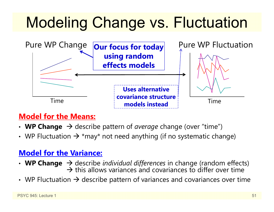# Modeling Change vs. Fluctuation



#### **Model for the Means:**

- WP Change  $\rightarrow$  describe pattern of *average* change (over "time")
- WP Fluctuation  $\bm{\rightarrow}$  \*may\* not need anything (if no systematic change)

#### **Model for the Variance:**

- WP Change  $\rightarrow$  describe *individual differences* in change (random effects)  $\rightarrow$  this allows variances and covariances to differ over time
- WP Fluctuation  $\bm{\rightarrow}$  describe pattern of variances and covariances over time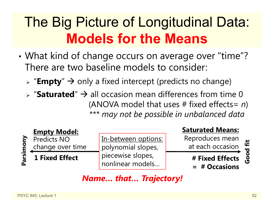# The Big Picture of Longitudinal Data: **Models for the Means**

- • What kind of change occurs on average over "time"? There are two baseline models to consider:
	- > "**Empty**" → only a fixed intercept (predicts no change)
	- $\triangleright$  "Saturated"  $\rightarrow$  all occasion mean differences from time 0 (ANOVA model that uses # fixed effects= *n* ) *\*\*\* may not be possible in unbalanced data*



In-between options: polynomial slopes, piecewise slopes, nonlinear models…

#### **Saturated Means:**

Reproduces mean at each occasion

**# Fixed Effects** 

**= # Occasions**

### Good fit **Good fit**

#### *Name… that… Trajectory!*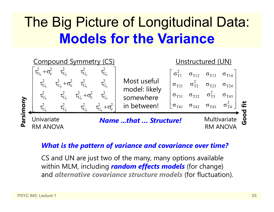# The Big Picture of Longitudinal Data: **Models for the Variance**

![](_page_52_Figure_1.jpeg)

#### *What is the pattern of variance and covariance over time?*

CS and UN are just two of the many, many options available within MLM, including *random effects models* (for change) and *alternative covariance structure models* (for fluctuation).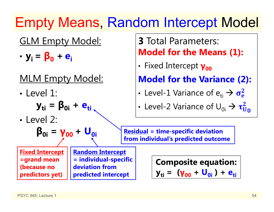# Empty Means, Random Intercept Model

### GLM Empty Model:

•**yi = β<sup>0</sup> <sup>+</sup> ei**

### MLM Empty Model:

• Level 1:

$$
\mathbf{y}_{ti} = \mathbf{\beta}_{0i} + \mathbf{e}_{ti}
$$

• Level 2:

$$
\beta_{0i} = \gamma_{00} + U_{0i}
$$

**Fixed Intercept =grand mean (because no predictors yet)** 

**Random Intercept = individual-specific deviation from predicted intercept**

### **3** Total Parameters: **Model for the Means (1):**

•**·** Fixed Intercept **γ**<sub>00</sub>

**Model for the Variance (2):**

•• Level-1 Variance of  $\mathrm{e_{\scriptscriptstyle{t\mathrm{i}}}} \rightarrow \sigma_{\mathrm{e}}^2$ 

• Level-2 Variance of 
$$
U_{0i} \rightarrow \tau_{U_0}^2
$$

**Residual = time-specific deviation from individual's predicted outcome** 

> **Composite equation: yti = (γ<sup>00</sup> + U0i ) + eti**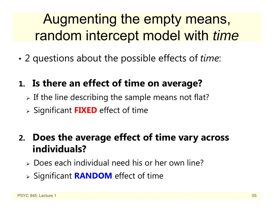# Augmenting the empty means, random intercept model with *time*

•2 questions about the possible effects of *time*:

### **1. Is there an effect of time on average?**

- $\triangleright$  If the line describing the sample means not flat?
- Significant **FIXED** effect of time

### **2. Does the average effect of time vary across individuals?**

- Does each individual need his or her own line?
- Significant **RANDOM** effect of time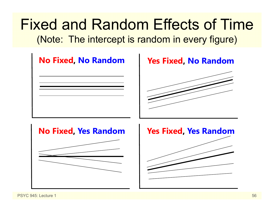## Fixed and Random Effects of Time(Note: The intercept is random in every figure)

![](_page_55_Figure_1.jpeg)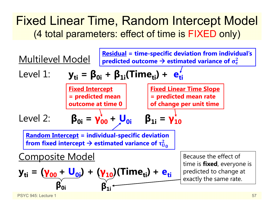### Fixed Linear Time, Random Intercept Model (4 total parameters: effect of time is FIXED only)

![](_page_56_Figure_1.jpeg)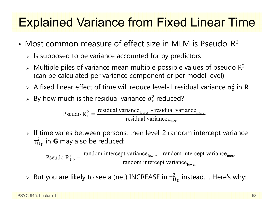## Explained Variance from Fixed Linear Time

- Most common measure of effect size in MLM is Pseudo-R 2
	- $\triangleright$  Is supposed to be variance accounted for by predictors
	- $\triangleright$  Multiple piles of variance mean multiple possible values of pseudo R<sup>2</sup> (can be calculated per variance component or per model level)
	- $>$  A fixed linear effect of time will reduce level-1 residual variance  $\sigma_{\rm e}^2$  $\frac{2}{6}$  in **R**
	- $\triangleright$  By how much is the residual variance  $\sigma_{\rm e}^2$  $<sup>2</sup>$  reduced?</sup>

 $\epsilon_{\text{e}}^2 = \frac{\text{residual variance}_{\text{fewer}} - \text{residual variance}_{\text{move}}}{\text{residual variance}_{\text{fewer}}}$ residual variance - residual variancePseudo  $R_e^2 = \frac{7.65 \text{ rad}}{2} \cdot \frac{1.65 \text{ rad}}{2} \cdot \text{residual variance}}$ 

 $\triangleright$  If time varies between persons, then level-2 random intercept variance  $\tau_{\rm U}$  $^2_{{\mathsf U}_0}$  in **G** may also be reduced:

 $\frac{2}{U0} = \frac{1 \text{ and on inductor per variable}}{\text{random intercept variance}}$ Pseudo  $R_{U0}^2 = \frac{\text{random intercept variance}_{\text{fewer}} - \text{random intercept variance}}{\text{random intercept variance}_{\text{fewer}}}$ 

 $\triangleright$  But you are likely to see a (net) INCREASE in  $\tau_{\mathrm{U}}^2$  $^2_{\mathrm{U}_\mathrm{0}}$  instead.... Here's why: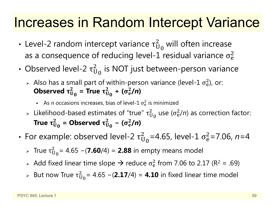## Increases in Random Intercept Variance

- •• Level-2 random intercept variance  $\tau^2_U$  $_{\rm U_0}^2$  will often increase as a consequence of reducing level-1 residual variance  $\sigma_{\rm e}^2$  $\overline{2}$
- Observed level-2  $\tau^2_{\mathrm{U}}$  $_{\rm U_0}^2$  is NOT just between-person variance
	- > Also has a small part of within-person variance (level-1  $\sigma_{\rm e}^2$ ), or: Observed  $\bm{\tau}^2_{\text{U}}$  $_{\rm U_0}^2$  = True  $\tau_{\rm U}^2$  $\frac{2}{\mu_0}$  + (σ<sup>2</sup><sub>e</sub>  $^{2}_{e}$ /n)
		- **As** *n* occasions increases, bias of level-1  $\sigma_{\rm e}^2$  $\frac{2}{9}$  is minimized
	- $\triangleright$  Likelihood-based estimates of "true"  $\tau_{\mathrm{U}}^2$  $_{\rm U_0}^2$  use ( $\sigma_{\rm e}^2$  $\frac{2}{e}$ /n) as correction factor: True  $\bm{\tau}^{\text{{\tiny \it L}}}_{\text{U}}$  $_{\rm U_0}^2$  = Observed  $\tau_{\rm U}^2$  $\frac{2}{\mathsf{U}_0}$  – ( $\sigma_{\rm e}^2$  $^{2}_{e}$ /n)
- •• For example: observed level-2  $\tau^2_{\mathrm{U}}$  $\overline{2}$ <sub>0</sub>=4.65, level-1 σ $^2$ e=7.06, *n*=4
	- $\triangleright$  True τ $_\mathrm{U}^2$ ଶ = 4.65 <sup>−</sup>(**7.60**/4) = **2.88** in empty means model
	- $\triangleright$  Add fixed linear time slope  $\rightarrow$  reduce  $\sigma_{\rm e}^2$  $^{2}_{6}$  from 7.06 to 2.17 (R<sup>2</sup> = .69)
	- $>$  But now True  $\tau^2_{\mathrm{U}}$ ଶ = 4.65 <sup>−</sup>(**2.17**/4) = **4.10** in fixed linear time model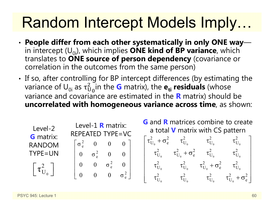# Random Intercept Models Imply…

- • **People differ from each other systematically in only ONE way**  $\mathcal{L}(\mathcal{L})$ in intercept  $(U_{0i})$ , which implies **ONE kind of BP variance**, which translates to **ONE source of person dependency** (covariance or correlation in the outcomes from the same person)
- •• If so, after controlling for BP intercept differences (by estimating the variance of  $\sf{U}_{0i}$  as  $\tau^2_U$  $\overline{2}$  $_{\rm 0}$ in the  $\bf G$  matrix), the  $\bf e_{ti}$  residuals (whose  $_{\rm 0}$ variance and covariance are estimated in the **R** matrix) should be **uncorrelated with homogeneous variance across time**, as shown:

| Level-2<br><b>G</b> matrix:                           | Level-1 <b>R</b> matrix:<br><b>REPEATED TYPE=VC</b>    | <b>G</b> and <b>R</b> matrices combine to create<br>a total <b>V</b> matrix with CS pattern                                   |
|-------------------------------------------------------|--------------------------------------------------------|-------------------------------------------------------------------------------------------------------------------------------|
|                                                       | $\sigma^2$ 0 0 0                                       | $\tau_{U_0}^2 + \sigma_e^2$ $\tau_{U_0}^2$ $\tau_{U_0}^2$<br>$\tau_{\rm U_{o}}^2$                                             |
| <b>RANDOM</b>                                         |                                                        |                                                                                                                               |
| $TYPE=UN$                                             | $0 \quad \sigma^2$ $0 \quad 0$                         | $\tau_{U_0}^2$ $\tau_{U_0}^2 + \sigma_e^2$ $\tau_{U_0}^2$<br>$\tau^2_{\rm U_o}$                                               |
| $\begin{bmatrix} \tau_{\mathrm{U}_0}^2 \end{bmatrix}$ | $\sigma_e^2$<br>$\overline{0}$                         | $\tau_{\rm U_o}^2 + \sigma_{\rm e}^2$<br>$\tau^2_{\rm U_{\rm o}}$<br>$\tau^2_{\rm U_{\alpha}}$<br>$\tau^2_{\mathrm{U}_\circ}$ |
|                                                       | $\begin{bmatrix} 0 & 0 & 0 & \sigma_e^2 \end{bmatrix}$ | $\tau_{\rm U_o}^2 + \sigma_{\rm e}^2$<br>$\tau^2_{\rm U_{_0}}$<br>$\tau^2_{\rm U_o}$                                          |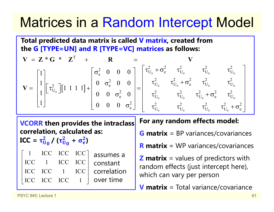## Matrices in a Random Intercept Model

**Total predicted data matrix is called V matrix, created from the G [TYPE=UN] and R [TYPE=VC] matrices as follows:**

$$
\mathbf{V} = \mathbf{Z} \cdot \mathbf{G} \cdot \mathbf{Z}^{T} + \mathbf{R} = \mathbf{V}
$$
  
\n
$$
\mathbf{V} = \begin{bmatrix} 1 \\ 1 \\ 1 \\ 1 \end{bmatrix} \begin{bmatrix} \tau_{U_{0}}^{2} \end{bmatrix} [1 \ 1 \ 1 \ 1] + \begin{bmatrix} \sigma_{e}^{2} & 0 & 0 & 0 \\ 0 & \sigma_{e}^{2} & 0 & 0 \\ 0 & 0 & \sigma_{e}^{2} & 0 \\ 0 & 0 & 0 & \sigma_{e}^{2} \end{bmatrix} = \begin{bmatrix} \tau_{U_{0}}^{2} + \sigma_{e}^{2} & \tau_{U_{0}}^{2} & \tau_{U_{0}}^{2} & \tau_{U_{0}}^{2} \\ \tau_{U_{0}}^{2} & \tau_{U_{0}}^{2} + \sigma_{e}^{2} & \tau_{U_{0}}^{2} & \tau_{U_{0}}^{2} \\ \tau_{U_{0}}^{2} & \tau_{U_{0}}^{2} & \tau_{U_{0}}^{2} + \sigma_{e}^{2} & \tau_{U_{0}}^{2} \\ \tau_{U_{0}}^{2} & \tau_{U_{0}}^{2} & \tau_{U_{0}}^{2} & \tau_{U_{0}}^{2} + \sigma_{e}^{2} \end{bmatrix}
$$

**VCORR then provides the intraclass correlation, calculated as:** 

 $\mathbf{ICC} = \mathbf{\tau_U^2}$  $\frac{2}{\mathsf{U}_\mathsf{0}}$  /  $(\tau_\mathsf{U}^2$  $\frac{2}{\mathsf{U}_{{\bf 0}}}$  $+$   $\sigma_{e}^{2}$ **)**

1 ICC ICC ICC ICC 1 ICC ICC ICC ICC 1 ICCICC ICC ICC 1 $\begin{bmatrix} 1 & \text{ICC} & \text{ICC} & \text{ICC} \\ \text{ICC} & 1 & \text{ICC} & \text{ICC} \\ \text{ICC} & \text{ICC} & 1 & \text{ICC} \\ \text{ICC} & \text{ICC} & \text{ICC} & 1 \end{bmatrix}$ assumes a constant correlation over time

#### **For any random effects model:**

**G matrix** = BP variances/covariances

**R matrix** = WP variances/covariances

**Z matrix** = values of predictors with random effects (just intercept here), which can vary per person

**V matrix** = Total variance/covariance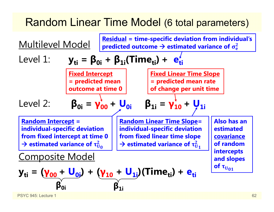### Random Linear Time Model (6 total parameters)

| Multilevel Model                                                  | Residual = time-specific deviation from individual's<br>predicted outcome $\rightarrow$ estimated variance of $\sigma_e^2$ |                                                               |                                                                             |
|-------------------------------------------------------------------|----------------------------------------------------------------------------------------------------------------------------|---------------------------------------------------------------|-----------------------------------------------------------------------------|
| Level 1:                                                          | \n $y_{ti} = \beta_{0i} + \beta_{1i} (Time_{ti}) + e_{ti}^j$ \n                                                            | \n $\frac{Fixed\text{ Internet}}{= predicted\text{ mean}}$ \n | \n $\frac{Fixed\text{ Linear Time Slope}}{= predicted\text{ mean rate}}$ \n |
| Level 2:                                                          | \n $\beta_{0i} = \gamma_{00}^j + U_{0i}$ \n                                                                                | \n $\beta_{1i} = \gamma_{10}^j + U_{1i}$ \n                   |                                                                             |
| Random\text{ Internetcept} = individual-specific\text{ deviation} | \n        and dividend-specific\text{ deviation}                                                                           | \n        and standard deviation                              |                                                                             |
| from fixed intercept at time 0                                    | \n        and individual-specific\text{ deviation}                                                                         | \n        and estimated\n        from fixed linear time slope | \n        and standard variance of $\tau_{U_1}^2$ \n                        |
| Composite Model                                                   | \n $\rightarrow$ estimated variance of $\tau_{U_1}^2$ \n                                                                   | \n $\rightarrow$ estimated variance of $\tau_{U_1}^2$ \n      | \n $\rightarrow$ estimated variance of $\tau_{U_1}^2$ \n                    |
| Composite Model                                                   | \n $y_{ti} = (\gamma_{00} + U_{0i}) + (\gamma_{10} + U_{1i})(Time_{ti}) + e_{ti}$ \n                                       | \n $\beta_{0i}$ \n                                            | \n $\beta_{1i}$ \n                                                          |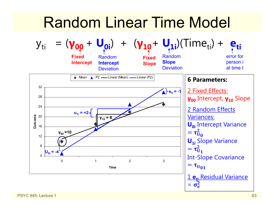## Random Linear Time Model

![](_page_62_Figure_1.jpeg)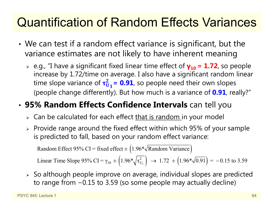## Quantification of Random Effects Variances

- • We can test if a random effect variance is significant, but the variance estimates are not likely to have inherent meaning
	- e.g., "I have a significant fixed linear time effect of **γ10 = 1.72**, so people increase by 1.72/time on average. I also have a significant random linear time slope variance of  $\tau_{\rm U}^2$  $\frac{2}{y_1}$  = **0.91**, so people need their own slopes (people change differently). But how much is a variance of **0.91**, really?"

#### •**95% Random Effects Confidence Intervals** can tell you

- $\triangleright\;$  Can be calculated for each effect <u>that is random i</u>n your model
- $\triangleright$  Provide range around the fixed effect within which 95% of your sample is predicted to fall, based on your random effect variance:

Random Effect 95% CI = fixed effect  $\pm (1.96*\sqrt{\text{Random Variance}})$ 

Linear Time Slope 95% CI =  $\gamma_{10} \pm \left(1.96*\sqrt{\tau_{U_1}^2}\right) \rightarrow 1.72 \pm \left(1.96*\sqrt{0.91}\right) = -0.15$  to 3.59

 $\triangleright$  So although people improve on average, individual slopes are predicted to range from <sup>−</sup>0.15 to 3.59 (so some people may actually decline)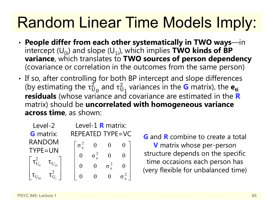# Random Linear Time Models Imply:

- • **People differ from each other systematically in TWO ways**—in intercept  $(U_{0i})$  and slope  $(U_{1i})$ , which implies **TWO kinds of BP variance**, which translates to **TWO sources of person dependency**  (covariance or correlation in the outcomes from the same person)
- •• If so, after controlling for both BP intercept and slope differences (by estimating the  $\tau_{\mathrm{U}}^{2}$  $_{\rm U_0}^2$  and  $\rm \tau_U^2$  $^2_{{\mathbf{U}}_{\mathbf{1}}}$  variances in the  $\mathbf G$  matrix), the  $\mathbf e_{\mathbf{t}}$ **residuals** (whose variance and covariance are estimated in the **R** matrix) should be **uncorrelated with homogeneous variance across time**, as shown:

| Level-2          | Level-1 <b>R</b> matrix: |  |  |  |  |
|------------------|--------------------------|--|--|--|--|
| <b>G</b> matrix: | REPEATED TYPE=VC         |  |  |  |  |
| <b>RANDOM</b>    |                          |  |  |  |  |
| TYPE=UN          |                          |  |  |  |  |
|                  |                          |  |  |  |  |
|                  |                          |  |  |  |  |
|                  |                          |  |  |  |  |

**G** and **R** combine to create a total **V** matrix whose per-person structure depends on the specific time occasions each person has (very flexible for unbalanced time)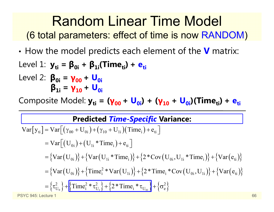•How the model predicts each element of the **V** matrix:

Level 1: 
$$
y_{ti} = \beta_{0i} + \beta_{1i}(Time_{ti}) + e_{ti}
$$
\nLevel 2:  $\beta_{0i} = \gamma_{00} + U_{0i}$ \n $\beta_{1i} = \gamma_{10} + U_{0i}$ 

Composite Model:  $y_{ti} = (y_{00} + U_{0i}) + (y_{10} + U_{0i})$ (Time<sub>ti</sub>) + e<sub>ti</sub>

#### **Predicted** *Time-Specific* **Variance:**

Var[y<sub>ti</sub>] = Var[(
$$
\gamma_{00}
$$
 + U<sub>0i</sub>) + ( $\gamma_{10}$  + U<sub>1i</sub>)(Time<sub>i</sub>) + e<sub>ti</sub>]  
\n= Var[(U<sub>0i</sub>) + (U<sub>1i</sub> \* Time<sub>i</sub>) + e<sub>ti</sub>]  
\n= {Var(U<sub>0i</sub>)} + {Var(U<sub>1i</sub> \* Time<sub>i</sub>)} + {2 \* Cov(U<sub>0i</sub>, U<sub>1i</sub> \* Time<sub>i</sub>)} + {Var(e<sub>ti</sub>)}  
\n= {Var(U<sub>0i</sub>)} + {Time<sub>i</sub><sup>2</sup> \* Var(U<sub>1i</sub>)} + {2 \* Time<sub>i</sub> \* Cov(U<sub>0i</sub>, U<sub>1i</sub>)} + {Var(e<sub>ti</sub>)}  
\n= { $\tau_{U_0}^2$ } + {Time<sub>i</sub><sup>2</sup> \*  $\tau_{U_1}^2$ } + {2 \* Time<sub>i</sub> \*  $\tau_{U_0}$ } + { $\sigma_e^2$ }  
\nPSTC 945: Lecture 1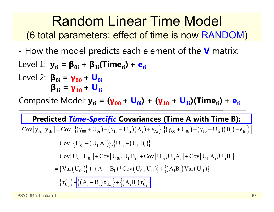•How the model predicts each element of the **V** matrix:

Level 1: 
$$
y_{ti} = \beta_{0i} + \beta_{1i}(Time_{ti}) + e_{ti}
$$
\nLevel 2:  $\beta_{0i} = \gamma_{00} + U_{0i}$ \n $\beta_{1i} = \gamma_{10} + U_{1i}$ 

Composite Model:  $y_{ti}$  = ( $y_{00}$  + U<sub>0i</sub>) + ( $y_{10}$  + U<sub>1i</sub>)(Time<sub>ti</sub>) + e<sub>ti</sub>

#### **Predicted** *Time-Specific* **Covariances (Time A with Time B):**

$$
Cov[y_{Ai}, y_{Bi}] = Cov\Big[\{(\gamma_{00} + U_{0i}) + (\gamma_{10} + U_{1i})(A_i) + e_{Ai}\}, \{(\gamma_{00} + U_{0i}) + (\gamma_{10} + U_{1i})(B_i) + e_{Bi}\}\Big]
$$
  
\n
$$
= Cov\Big[\{U_{0i} + (U_{1i}A_i)\}, \{U_{0i} + (U_{1i}B_i)\}\Big]
$$
  
\n
$$
= Cov\Big[U_{0i}, U_{0i}\Big] + Cov\Big[U_{0i}, U_{1i}B_i\Big] + Cov\Big[U_{0i}, U_{1i}A_i\Big] + Cov\Big[U_{1i}A_i, U_{1i}B_i\Big]
$$
  
\n
$$
= \{Var\Big(U_{0i}\Big)\} + \{ (A_i + B_i) * Cov\Big(U_{0i}, U_{1i}\Big)\} + \{ (A_iB_i) Var\Big(U_{1i}\Big)\}
$$
  
\n
$$
= \{ \tau_{U_0}^2 \} + \Big[\{ (A_i + B_i) \tau_{U_{0i}} \} + \{ (A_iB_i) \tau_{U_{1i}}^2 \}
$$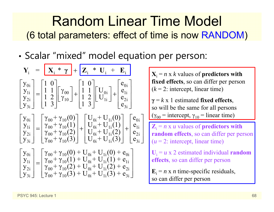•• Scalar "mixed" model equation per person:

$$
Y_{i} = \begin{bmatrix} X_{i} * \gamma \\ Y_{0i} \\ Y_{2i} \\ Y_{3i} \end{bmatrix} = \begin{bmatrix} 1 & 0 \\ 1 & 1 \\ 1 & 2 \\ 1 & 3 \end{bmatrix} \begin{bmatrix} \gamma_{00} \\ \gamma_{10} \\ \gamma_{10} \end{bmatrix} + \begin{bmatrix} 1 & 0 \\ 1 & 1 \\ 1 & 2 \\ 1 & 3 \end{bmatrix} \begin{bmatrix} U_{0i} \\ U_{0i} \\ U_{1i} \end{bmatrix} + \begin{bmatrix} e_{0i} \\ e_{1i} \\ e_{2i} \\ e_{3i} \end{bmatrix}
$$
\n
$$
Y_{i} = n \times k \text{ values of predictors with fixed effects, so can differ per person}
$$
\n
$$
\gamma = k \times 1 \text{ estimated fixed effects, so will be the same for all persons with the same for all persons with the same for all persons with the same for all persons with the same for all persons with the same for all persons with the same for all persons with the same for all persons with the same for all persons with the same for all persons with the same for all persons with the same for all persons with the same for all persons with the same for all persons with the same for all persons with the same for all persons with the same for the same. The first is, so can differ per person, the second is, we can differ per person. The second is, we can differ the second is, we can differ the second. The second is, we can differ the second. The second is, we can differ the second. The second is, we can define the second. The second is, we can define the second. The second is, we can define the second. The second is, we can define the second. The second is, we can define the second. The second is, we can define the second. The second is, we can define the second. The second is, we can use the second. The second is, we can use the second. The second is, we can use the second. The second is, we can use the second. The second is, we can use the second. The second is, we can use the second. The second is, we can use the second. The second is, we can use the second. The second is, we can use the second. The second is, we can use the second. The second is, we can use the second. The second is, we can use the second. The second is, we can use the second. The second is, we can use the second. The second is, we can use the second. The second is, we can use the second. The second is, we can use the second. The second is, we can use the second. The second is, we can use the second. The second is, we can use the second. The second is, we can use the second. The second is, we can use the second. The second is, we can use the second. The second is, we can use the second. The second is, we can use the second. The second is, we can use the second
$$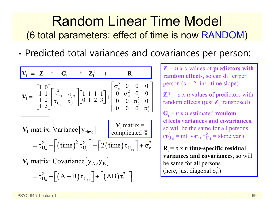•Predicted total variances and covariances per person:

$$
V_{i} = Z_{i} * G_{i} * Z_{i}^{T} + R_{i}
$$
\n
$$
V_{i} = \begin{bmatrix} 1 & 0 \\ 1 & 1 \\ 1 & 2 \\ 1 & 3 \end{bmatrix} \begin{bmatrix} \tau_{U_{0}}^{2} & \tau_{U_{0}} \\ \tau_{U_{0}} & \tau_{U_{1}}^{2} \end{bmatrix} \begin{bmatrix} 1 & 1 & 1 & 1 \\ 0 & 1 & 2 & 3 \end{bmatrix} + \begin{bmatrix} \sigma_{e}^{2} & 0 & 0 & 0 \\ 0 & \sigma_{e}^{2} & 0 & 0 \\ 0 & 0 & \sigma_{e}^{2} & 0 \\ 0 & 0 & 0 & \sigma_{e}^{2} \end{bmatrix}
$$
\n
$$
= \tau_{U_{0}}^{2} + \left[ (\text{time})^{2} \tau_{U_{1}}^{2} \right] + \left[ 2 (\text{time}) \tau_{U_{01}} \right] + \left[ (AB) \tau_{U_{1}}^{2} \right]
$$
\n
$$
= \tau_{U_{0}}^{2} + \left[ (A + B) \tau_{U_{01}} \right] + \left[ (AB) \tau_{U_{1}}^{2} \right]
$$
\n
$$
= \tau_{U_{0}}^{2} + \left[ (AB) \tau_{U_{1}}^{2} \right] + \left[ (AB) \tau_{U_{1}}^{2} \right]
$$
\n
$$
= \tau_{U_{0}}^{2} + \left[ (AB) \tau_{U_{1}}^{2} \right] + \left[ (AB) \tau_{U_{1}}^{2} \right]
$$
\n
$$
= \tau_{U_{0}}^{2} + \left[ (AB) \tau_{U_{1}}^{2} \right] + \left[ (AB) \tau_{U_{1}}^{2} \right]
$$
\n
$$
= \tau_{U_{1}}^{2} + \left[ (AB) \tau_{U_{1}}^{2} \right] + \left[ (AB) \tau_{U_{1}}^{2} \right]
$$
\n
$$
= \tau_{U_{1}}^{2} + \left[ (AB) \tau_{U_{1}}^{2} \right] + \left[ (AB) \tau_{U_{1}}^{2} \right]
$$
\n
$$
= \tau_{U_{1}}^{2} + \left[ (AB) \tau_{U_{1}}^{2} \right] + \left[ (AB) \tau_{U_{1}}^{2} \right]
$$
\n<math display="block</math>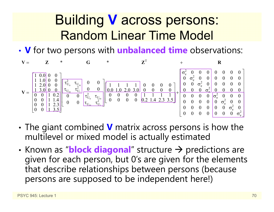## Building **V** across persons: Random Linear Time Model

• **V** for two persons with **unbalanced time** observations:

![](_page_69_Figure_2.jpeg)

- • The giant combined **V** matrix across persons is how the multilevel or mixed model is actually estimated
- •• Known as "**block diagonal**" structure  $\rightarrow$  predictions are given for each person, but 0's are given for the elements that describe relationships between persons (because persons are supposed to be independent here!)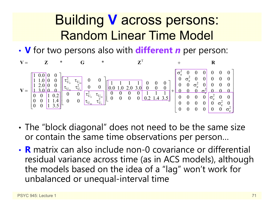## Building **V** across persons: Random Linear Time Model

• **V** for two persons also with **different** *<sup>n</sup>* per person:

![](_page_70_Figure_2.jpeg)

- • The "block diagonal" does not need to be the same size or contain the same time observations per person…
- **R** matrix can also include non-0 covariance or differential residual variance across time (as in ACS models), although the models based on the idea of a "lag" won't work for unbalanced or unequal-interval time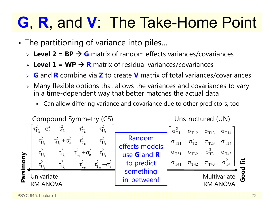# **G**, **R**, and **V**: The Take-Home Point

- • The partitioning of variance into piles…
	- **► Level 2 = BP → G** matrix of random effects variances/covariances
	- **► Level 1 = WP → R** matrix of residual variances/covariances
	- ➤ **G** and **R** combine via **Z** to create **V** matrix of total variances/covariances
	- $\triangleright$  Many flexible options that allows the variances and covariances to vary in a time-dependent way that better matches the actual data
		- Can allow differing variance and covariance due to other predictors, too

![](_page_71_Figure_7.jpeg)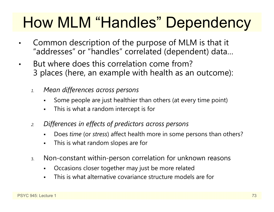## How MLM "Handles" Dependency

- • Common description of the purpose of MLM is that it "addresses" or "handles" correlated (dependent) data…
- $\bullet$  But where does this correlation come from? 3 places (here, an example with health as an outcome):
	- *1. Mean differences across persons*
		- Some people are just healthier than others (at every time point)
		- $\blacksquare$ This is what a random intercept is for
	- *2. Differences in effects of predictors across persons*
		- $\blacksquare$ Does *time* (or *stress*) affect health more in some persons than others?
		- $\blacksquare$ This is what random slopes are for
	- 3. Non-constant within-person correlation for unknown reasons
		- F Occasions closer together may just be more related
		- This is what alternative covariance structure models are for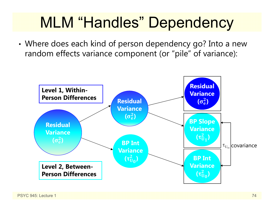## MLM "Handles" Dependency

• Where does each kind of person dependency go? Into a new random effects variance component (or "pile" of variance):

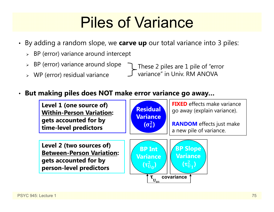## Piles of Variance

- By adding a random slope, we **carve up** our total variance into 3 piles:
	- $\triangleright$  BP (error) variance around intercept
	- $\triangleright$  BP (error) variance around slope
	- WP (error) residual variance

These 2 piles are 1 pile of "error variance" in Univ. RM ANOVA

#### •**But making piles does NOT make error variance go away…**

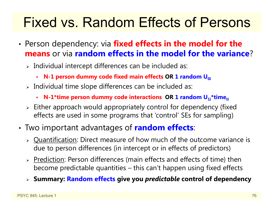#### Fixed vs. Random Effects of Persons

- • Person dependency: via **fixed effects in the model for the means** or via **random effects in the model for the variance**?
	- $\triangleright$  Individual intercept differences can be included as:
		- **N-1 person dummy code fixed main effects OR 1 random U<sub>0i</sub>**
	- $\triangleright$  Individual time slope differences can be included as:
		- **-** N-1\*time person dummy code interactions OR 1 random U<sub>1i</sub>\*time<sub>ti</sub>
	- $\triangleright$  Either approach would appropriately control for dependency (fixed) effects are used in some programs that 'control' SEs for sampling)
- • Two important advantages of **random effects**:
	- > Quantification: Direct measure of how much of the outcome variance is due to person differences (in intercept or in effects of predictors)
	- > Prediction: Person differences (main effects and effects of time) then become predictable quantities – this can't happen using fixed effects
	- **Summary: Random effects give you** *predictable* **control of dependency**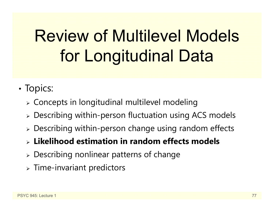# Review of Multilevel Models for Longitudinal Data

- •• Topics:
	- $\triangleright$  Concepts in longitudinal multilevel modeling
	- Describing within-person fluctuation using ACS models
	- Describing within-person change using random effects
	- **Likelihood estimation in random effects models**
	- Describing nonlinear patterns of change
	- $\triangleright$  Time-invariant predictors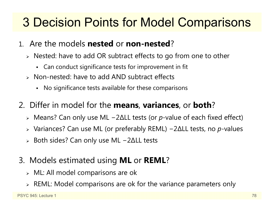#### 3 Decision Points for Model Comparisons

- 1. Are the models **nested** or **non-nested** ?
	- Nested: have to add OR subtract effects to go from one to other
		- Can conduct significance tests for improvement in fit
	- Non-nested: have to add AND subtract effects
		- No significance tests available for these comparisons
- 2. Differ in model for the **means**, **variances**, or **both** ?
	- Means? Can only use ML − 2 ∆LL tests (or *p*-value of each fixed effect)
	- Variances? Can use ML (or preferably REML) − 2 ∆LL tests, no *p*-values
	- $\triangleright$  Both sides? Can only use ML − 2 ∆LL tests
- 3. Models estimated using **ML** or **REML** ?
	- $\triangleright$  ML: All model comparisons are ok
	- $\triangleright$  REML: Model comparisons are ok for the variance parameters only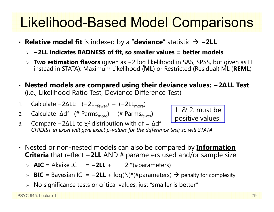#### Likelihood-Based Model Comparisons

- **Relative model fit** is indexed by a "**deviance**" statistic **−2LL**
	- **<sup>−</sup>2LL indicates BADNESS of fit, so smaller values = better models**
	- **Two estimation flavors** (given as <sup>−</sup>2 log likelihood in SAS, SPSS, but given as LL instead in STATA): Maximum Likelihood (**ML**) or Restricted (Residual) ML (**REML**)
- **Nested models are compared using their deviance values: − 2 ∆LL Test**  (i.e., Likelihood Ratio Test, Deviance Difference Test)
- 1.. Calculate −2ΔLL: (−2LL<sub>fewer</sub>) – (−2LL<sub>more</sub>)
- 2.. Calculate Δdf: (# Parms<sub>more</sub>) – (# Parms<sub>fewer</sub>)



- 3.. Compare −2ΔLL to  $\chi^2$  distribution with df = Δdf *CHIDIST in excel will give exact p-values for the difference test; so will STATA*
- Nested or non-nested models can also be compared by **Information Criteria** that reflect **−2LL** AND # parameters used and/or sample size
	- > AIC = Akaike IC = −2LL + 2 \*(#parameters)
	- > BIC = Bayesian IC = -2LL + log(N)\*(#parameters) → penalty for complexity
	- $\triangleright$   $\,$  No significance tests or critical values, just "smaller is better"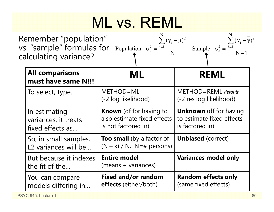# ML vs. REML

| Remember "population"<br>vs. "sample" formulas for Population: $\sigma_e^2 = \frac{\overline{1} + \overline{1}}{2}$ | $\sum (y_i - \mu)^2$ | $\sum (y_i - \overline{y})^2$<br>Sample: $\sigma_e^2 = \frac{i-1}{2}$ |
|---------------------------------------------------------------------------------------------------------------------|----------------------|-----------------------------------------------------------------------|
| calculating variance?                                                                                               |                      | $N-1$                                                                 |

| <b>All comparisons</b><br>must have same N!!!             | ML                                                                                   | <b>REML</b>                                                                   |
|-----------------------------------------------------------|--------------------------------------------------------------------------------------|-------------------------------------------------------------------------------|
| To select, type                                           | METHOD=ML<br>(-2 log likelihood)                                                     | METHOD=REML default<br>(-2 res log likelihood)                                |
| In estimating<br>variances, it treats<br>fixed effects as | <b>Known</b> (df for having to<br>also estimate fixed effects<br>is not factored in) | <b>Unknown</b> (df for having<br>to estimate fixed effects<br>is factored in) |
| So, in small samples,<br>L2 variances will be             | Too small (by a factor of<br>$(N - k) / N$ , N=# persons)                            | <b>Unbiased</b> (correct)                                                     |
| But because it indexes<br>the fit of the                  | <b>Entire model</b><br>(means + variances)                                           | <b>Variances model only</b>                                                   |
| You can compare<br>models differing in                    | <b>Fixed and/or random</b><br>effects (either/both)                                  | <b>Random effects only</b><br>(same fixed effects)                            |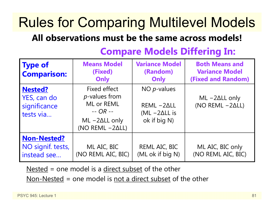### Rules for Comparing Multilevel Models

#### **All observations must be the same across models!**

| <b>Type of</b><br><b>Comparison:</b>                       | <b>Means Model</b><br>(Fixed)<br>Only                                                                 | <b>Variance Model</b><br>(Random)<br>Only                             | <b>Both Means and</b><br><b>Variance Model</b><br><b>(Fixed and Random)</b> |
|------------------------------------------------------------|-------------------------------------------------------------------------------------------------------|-----------------------------------------------------------------------|-----------------------------------------------------------------------------|
| <b>Nested?</b><br>YES, can do<br>significance<br>tests via | Fixed effect<br>$p$ -values from<br>ML or REML<br>$-$ OR $-$<br>$ML -2ALL$ only<br>$(NO REML - 2ALL)$ | NO $p$ -values<br>$REML -2ALL$<br>$(ML - 2\Delta LL)$<br>ok if big N) | $ML -2\Delta LL$ only<br>(NO REML $-2\Delta L$ )                            |
| <b>Non-Nested?</b><br>NO signif. tests,<br>instead see     | ML AIC, BIC<br>(NO REML AIC, BIC)                                                                     | REML AIC, BIC<br>(ML ok if big N)                                     | ML AIC, BIC only<br>(NO REML AIC, BIC)                                      |

#### **Compare Models Differing In:**

Nested = one model is a direct subset of the other

Non-Nested = one model is not a direct subset of the other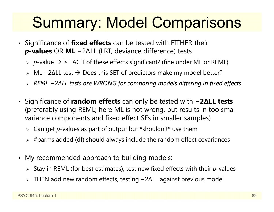## Summary: Model Comparisons

- Significance of **fixed effects** can be tested with EITHER their *p***-values** OR **ML** − 2 ∆LL (LRT, deviance difference) tests
	- *p*-value Is EACH of these effects significant? (fine under ML or REML)
	- > ML -2ΔLL test → Does this SET of predictors make my model better?
	- *REML − 2∆LL tests are WRONG for comparing models differing in fixed effects*
- Significance of **random effects** can only be tested with **− 2 ∆LL tests** (preferably using REML; here ML is not wrong, but results in too small variance components and fixed effect SEs in smaller samples)
	- Can get *p*-values as part of output but \*shouldn't\* use them
	- $\triangleright$  #parms added (df) should always include the random effect covariances
- My recommended approach to building models:
	- Stay in REML (for best estimates), test new fixed effects with their *p*-values
	- THEN add new random effects, testing − 2 ∆LL against previous model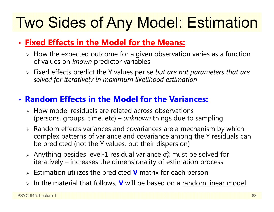# Two Sides of Any Model: Estimation

#### • **Fixed Effects in the Model for the Means:**

- $\triangleright$  How the expected outcome for a given observation varies as a function of values on *known* predictor variables
- Fixed effects predict the Y values per se *but are not parameters that are solved for iteratively in maximum likelihood estimation*

#### • **Random Effects in the Model for the Variances:**

- $\triangleright$  How model residuals are related across observations (persons, groups, time, etc) – *unknown* things due to sampling
- $\triangleright$  Random effects variances and covariances are a mechanism by which complex patterns of variance and covariance among the Y residuals can be predicted (not the Y values, but their dispersion)
- $>$  Anything besides level-1 residual variance  $\sigma_{\rm e}^2$  iteratively – increases the dimensionality of estimation process  $<sup>2</sup>$  must be solved for</sup>
- Estimation utilizes the predicted **V** matrix for each person
- In the material that follows, **V** will be based on a random linear model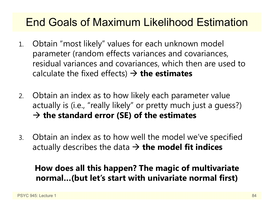#### End Goals of Maximum Likelihood Estimation

- 1. Obtain "most likely" values for each unknown model parameter (random effects variances and covariances, residual variances and covariances, which then are used to calculate the fixed effects) **the estimates**
- 2. Obtain an index as to how likely each parameter value actually is (i.e., "really likely" or pretty much just a guess?) **the standard error (SE) of the estimates**
- 3. Obtain an index as to how well the model we've specified actually describes the data **the model fit indices**

#### **How does all this happen? The magic of multivariate normal…(but let's start with univariate normal first)**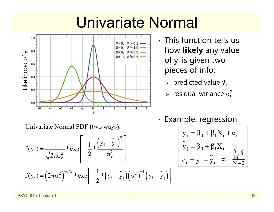## Univariate Normal



- This function tells us how **likely** any value of y<sub>i</sub> is given two pieces of info:
	- $\triangleright$   $\,$  predicted value  $\widehat y_{\rm i}$
	- $\triangleright$  residual variance  $\sigma_{\rm e}^2$  $\overline{c}$

Univariate Normal PDF (two ways):

$$
f(y_i) = \frac{1}{\sqrt{2\pi\sigma_e^2}} * \exp\left[-\frac{1}{2} * \frac{(y_i - \hat{y}_i)^2}{\sigma_e^2}\right]
$$
  

$$
f(y_i) = (2\pi\sigma_e^2)^{-1/2} * \exp\left[-\frac{1}{2} * (y_i - \hat{y}_i)(\sigma_e^2)^{-1} (y_i - \hat{y}_i)\right]
$$

•• Example: regression

 $\lceil$ 

 $\overline{\phantom{a}}$ 

$$
\left[\begin{array}{c}y_i=\beta_0+\beta_1X_i+e_i\\\hat{y}_i=\beta_0+\beta_1X_i\\\vdots\\\hat{e}_i=y_i-\hat{y}_i\end{array}\right]_{\sigma_e^2=\frac{1}{N-2}}
$$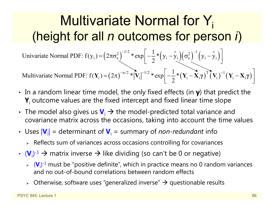#### Multivariate Normal for Y<sub>i</sub> (height for all *n* outcomes for person *i*)

 $\mathbf{I}_{i} = (2\pi\sigma_{e}^{2})^{-1/2} * \exp\left(-\frac{1}{2} * (y_{i} - \hat{y}_{i})(\sigma_{e}^{2})^{-1} (y_{i} - \hat{y}_{i})\right)$ 1Univariate Normal PDF:  $f(y_i) = (2\pi\sigma_e^2)$  \*  $\exp\left(-\frac{1}{2} * (y_i - y_i)(\sigma_e^2)$   $(y_i - y_i)(\sigma_e^2)$  $= (2\pi\sigma_e^2)^{-1/2} * \exp \left[ -\frac{1}{2} * (y_i - \hat{y}_i) (\sigma_e^2)^{-1} (y_i - \hat{y}_i) \right]$ 

 $\left(2\pi\right)^{-n/2} \sqrt[*]{\text{V}_{\text{i}}} \left|^{-1/2} \sqrt[*]{\text{exp}}\right| - \frac{1}{2} \sqrt[*]{\text{V}_{\text{i}}} - \bar{\textbf{X}}_{\text{i}} \gamma \right)^\text{T} \bar{\textbf{(}} \textbf{V}_{\text{i}})^{-1} \left(\textbf{V}_{\text{i}} - \textbf{X}_{\text{i}} \gamma\right)$ i i ii i ii 1Multivariate Normal PDF:  $f(Y_i) = (2\pi)^{-m/2} * |V_i|^{-m/2} * exp(-\frac{1}{2})$  $\frac{-11}{2}$  at  $\frac{1}{2}$   $\frac{1}{2}$  at  $\frac{1}{2}$  at  $\frac{1}{2}$  at  $\frac{1}{2}$  at  $\frac{1}{2}$   $\frac{1}{2}$   $\frac{1}{2}$   $\frac{1}{2}$   $\frac{1}{2}$  $\mathbf{Y}_{i}$  =  $(2\pi)^{-n/2}$  \*  $|\mathbf{V}_{i}|^{-1/2}$  \*  $\exp\left[-\frac{1}{2}*(\mathbf{Y}_{i}-\mathbf{X}_{i}\boldsymbol{\gamma})^{T}(\mathbf{V}_{i})^{-1}(\mathbf{Y}_{i}-\mathbf{X}_{i}\boldsymbol{\gamma})\right]$ **γ**  $(\mathbf{V}_i)$   $(\mathbf{V}_i - \mathbf{X}_i \mathbf{y})$ 

- In a random linear time model, the only fixed effects (in **γ**) that predict the **Y**i outcome values are the fixed intercept and fixed linear time slope
- The model also gives us  $\mathbf{V}_i \to$  the model-predicted total variance and covariance matrix across the occasions, taking into account the time values
- Uses  $|V_i|$  = determinant of  $V_i$  = summary of *non-redundant* info
	- $\triangleright$  Reflects sum of variances across occasions controlling for covariances
- $\bm{\cdot}$  (**V**<sub>i</sub>)<sup>-1</sup>  $\bm{\rightarrow}$  matrix inverse  $\bm{\rightarrow}$  like dividing (so can't be 0 or negative)
	- **► (V**<sub>i</sub>)<sup>-1</sup> must be "positive definite", which in practice means no 0 random variances and no out-of-bound correlations between random effects
	- $\triangleright$  Otherwise, software uses "generalized inverse"  $\rightarrow$  questionable results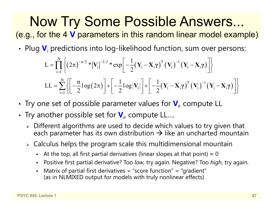Now Try Some Possible Answers... (e.g., for the 4 **V** parameters in this random linear model example)

• Plug  $\mathbf{V}_\text{i}$  predictions into log-likelihood function, sum over persons:

$$
L = \prod_{i=1}^{N} \left\{ \left( 2\pi \right)^{-n/2} * \left| \mathbf{V}_{i} \right|^{-1/2} * \exp \left[ -\frac{1}{2} \left( \mathbf{Y}_{i} - \mathbf{X}_{i} \gamma \right)^{T} \left( \mathbf{V}_{i} \right)^{-1} \left( \mathbf{Y}_{i} - \mathbf{X}_{i} \gamma \right) \right] \right\}
$$
  
\n
$$
LL = \sum_{i=1}^{N} \left\{ \left[ -\frac{n}{2} \log \left( 2\pi \right) \right] + \left[ -\frac{1}{2} \log \left| \mathbf{V}_{i} \right| \right] + \left[ -\frac{1}{2} \left( \mathbf{Y}_{i} - \mathbf{X}_{i} \gamma \right)^{T} \left( \mathbf{V}_{i} \right)^{-1} \left( \mathbf{Y}_{i} - \mathbf{X}_{i} \gamma \right) \right] \right\}
$$

- •• Try one set of possible parameter values for  $\mathbf{V}_{i}$ , compute LL
- •• Try another possible set for  $\bm{\mathsf{V}}_{\mathsf{i} \bm{\mathsf{r}}}$  compute LL....
	- $\triangleright$  Different algorithms are used to decide which values to try given that each parameter has its own distribution  $\boldsymbol{\rightarrow}$  like an uncharted mountain
	- $\triangleright$  Calculus helps the program scale this multidimensional mountain
		- n -  $\;$  At the top, all first partial derivatives (linear slopes at that point)  $\approx 0$
		- n Positive first partial derivative? Too *low*, try again. Negative? Too *high*, try again.
		- n Matrix of partial first derivatives = "score function" = "gradient" (as in NLMIXED output for models with truly nonlinear effects)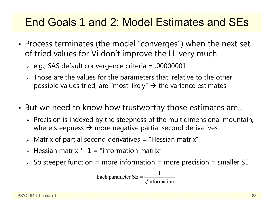#### End Goals 1 and 2: Model Estimates and SEs

- • Process terminates (the model "converges") when the next set of tried values for Vi don't improve the LL very much…
	- $\triangleright$  e.g., SAS default convergence criteria = .00000001
	- $\triangleright$  Those are the values for the parameters that, relative to the other possible values tried, are "most likely"  $\rightarrow$  the variance estimates
- • But we need to know how trustworthy those estimates are…
	- $\triangleright$  Precision is indexed by the steepness of the multidimensional mountain, where steepness  $\rightarrow$  more negative partial second derivatives
	- $\triangleright$  Matrix of partial second derivatives = "Hessian matrix"
	- $\triangleright$  Hessian matrix  $\cdot$  -1 = "information matrix"
	- $\triangleright$  So steeper function = more information = more precision = smaller SE

Each parameter 
$$
SE = \frac{1}{\sqrt{\text{information}}}
$$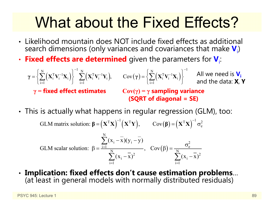## What about the Fixed Effects?

- Likelihood mountain does NOT include fixed effects as additional search dimensions (only variances and covariances that make  $\textbf{V}_{\rm i}$ )
- •**• Fixed effects are determined** given the parameters for  $V_i$ :

 $\left\{ \mathbf{X}_{\text{i}}^{\text{T}} \mathbf{V}_{\text{i}}^{-1} \mathbf{X}_{\text{i}} \right\} \geq \sum_{i} \left( \mathbf{X}_{\text{i}}^{\text{T}} \mathbf{V}_{\text{i}}^{-1} \mathbf{Y}_{\text{i}} \right), \qquad \text{Cov}(\gamma) = \left\{ \sum_{i} \left( \mathbf{X}_{\text{i}}^{\text{T}} \mathbf{V}_{\text{i}}^{-1} \mathbf{X}_{\text{i}} \right) \right\}$  $\sum_{i=1}^{N} \left(\mathbf{X}_{i}^{T} \mathbf{V}_{i}^{-1} \mathbf{X}_{i}\right) \Bigg\}^{-1} \sum_{i=1}^{N} \left(\mathbf{X}_{i}^{T} \mathbf{V}_{i}^{-1} \mathbf{Y}_{i}\right), \qquad \mathrm{Cov}(\gamma) = \left\{\sum_{i=1}^{N} \left(\mathbf{X}_{i}^{T} \mathbf{V}_{i}^{-1} \mathbf{X}_{i}\right)\right\}^{-1}$ , Cov  $\overline{a}$   $\overline{a}$   $\overline{a}$   $\overline{a}$   $\overline{a}$   $\overline{a}$   $\overline{a}$   $\overline{a}$   $\overline{a}$   $\overline{a}$   $\overline{a}$   $\overline{a}$   $\overline{a}$   $\overline{a}$   $\overline{a}$   $\overline{a}$   $\overline{a}$   $\overline{a}$   $\overline{a}$   $\overline{a}$   $\overline{a}$   $\overline{a}$   $\overline{a}$   $\overline{a}$   $\overline{$  $\sim$   $\mathbf{V}$   $\mathbf{V}$   $\mathbf{V}$   $\mathbf{V}$   $\mathbf{V}$   $\mathbf{V}$   $\mathbf{V}$   $\mathbf{V}$   $\mathbf{V}$   $\mathbf{V}$   $\mathbf{V}$   $\mathbf{V}$   $\mathbf{V}$   $\mathbf{V}$   $\mathbf{V}$   $\mathbf{V}$   $\mathbf{V}$   $\mathbf{V}$   $\mathbf{V}$   $\mathbf{V}$   $\mathbf{V}$   $\mathbf{V}$   $\mathbf{V}$   $\mathbf{V}$   $=$   $\begin{array}{ccc} & & & \end{array}$   $\begin{array}{ccc} & & & \end{array}$   $=$   $\begin{array}{ccc} & & & \end{array}$   $\begin{array}{ccc} & & & \end{array}$   $\begin{array}{ccc} & & & \end{array}$  **<sup>γ</sup> XV <sup>X</sup> XV <sup>Y</sup> <sup>γ</sup> XV <sup>X</sup>** All we need is **Vi** and the data: **X**, **Y γ <sup>=</sup>fixed effect estimates Cov( γ) = γ sampling variance (SQRT of diagonal = SE)**

• This is actually what happens in regular regression (GLM), too:

GLM matrix solution:  $\beta = (X^T X)^{-1} (X^T Y)$ ,  $Cov(\beta) = (X^T X)^{-1} \sigma_e^2$ **g** =  $(X^{\mathsf{T}}X)$   $(X^{\mathsf{T}}Y)$ ,  $Cov(\beta) = (X^{\mathsf{T}}X)$   $\sigma$ 

GLM scalar solution: 
$$
\beta = \frac{\sum_{i=1}^{N} (x_i - \overline{x})(y_i - \overline{y})}{\sum_{i=1}^{N} (x_i - \overline{x})^2}, \quad Cov(\beta) = \frac{\sigma_e^2}{\sum_{i=1}^{N} (x_i - \overline{x})^2}
$$

• **Implication: fixed effects don't cause estimation problems** … (at least in general models with normally distributed residuals)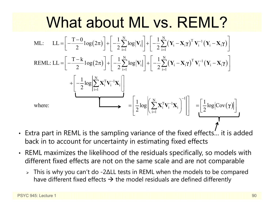#### What about ML vs. REML?  $\mathcal{L}\left(2\pi\right)\left|+\right|-\frac{1}{2}\sum\log\left|\mathbf{V}_{\mathrm{i}}\right|\left|+\right|-\frac{1}{2}\sum\left(\mathbf{Y}_{\mathrm{i}}-\mathbf{X}_{\mathrm{i}}\boldsymbol{\gamma}\right)^{\mathrm{T}}\mathbf{V}_{\mathrm{i}}^{-1}\left(\mathbf{Y}_{\mathrm{i}}-\mathbf{X}_{\mathrm{i}}\boldsymbol{\gamma}\right)$  $\mathcal{L}\left(2\pi\right)\left|+\right|-\frac{1}{2}\sum\log\left|\mathbf{V}_{\mathrm{i}}\right|\left|+\right|-\frac{1}{2}\sum\left(\mathbf{Y}_{\mathrm{i}}-\mathbf{X}_{\mathrm{i}}\boldsymbol{\gamma}\right)^{\mathrm{T}}\mathbf{V}_{\mathrm{i}}^{-1}\left(\mathbf{Y}_{\mathrm{i}}-\mathbf{X}_{\mathrm{i}}\boldsymbol{\gamma}\right)$  $\sum_{i=1}^{N} \log \lvert \mathbf{V}_i \rvert \, \bigg\lvert + \bigg\rvert - \frac{1}{2} \sum_{i=1}^{N} \big(\mathbf{Y}_i - \mathbf{X}_i \boldsymbol{\gamma}\big)^{\text{T}} \, \mathbf{V}_i^{-1} \big(\mathbf{Y}_i - \mathbf{X}_i \big)$  $\sum_{i=1}^{N} \log \lvert \mathbf{V}_i \rvert \left\lvert + \right\rvert - \frac{1}{2} \sum_{i=1}^{N} \left(\mathbf{Y}_i - \mathbf{X}_i \boldsymbol{\gamma}\right)^{\text{T}} \mathbf{V}_i^{-1} \left(\mathbf{Y}_i - \mathbf{X}_i\right)$  $+\left(-\frac{1}{2}\log\left|\sum_{i=1}^{N} \mathbf{X}_{i}^{T} \mathbf{V}_{i}^{-1} \mathbf{X}_{i}\right|\right)$  $T-0$ ,  $(2, 1)$   $1 \sum_{i=1}^{N}$ ,  $|z_i|$   $1 \sum_{i=1}^{N}$ ML:  $LL = \left[ -\frac{T-0}{2} \log(2\pi) \right] + \left[ -\frac{1}{2} \sum_{i=1}^{N} \log |\mathbf{V}_i| \right] + \left[ -\frac{1}{2} \sum_{i=1}^{N} (\mathbf{Y}_i - \mathbf{X}_i \boldsymbol{\gamma})^T \mathbf{V}_i^{-1} (\mathbf{Y}_i - \mathbf{X}_i \boldsymbol{\gamma}) \right]$  $T-k$ ,  $(2, 1)$   $1 \sum_{i=1}^{N}$ REML: LL =  $\left[-\frac{T-k}{2} \log(2\pi)\right] + \left[-\frac{1}{2} \sum_{i=1}^{N} \log|\mathbf{V}_i|\right] + \left[-\frac{1}{2} \sum_{i=1}^{N} (\mathbf{Y}_i - \mathbf{X}_i \boldsymbol{\gamma})^T \mathbf{V}_i^{-1} (\mathbf{Y}_i - \mathbf{X}_i \boldsymbol{\gamma})\right]$ = Ξ = Ξ Ξ =  $+$  $|$   $\log$  $|$  $\sum$  $X$ <sup>1</sup> $\sum$ <sub>i</sub> $X$ <sup>2</sup> $\sum$  $\sum \log |\mathbf{V}_i| \left| + \right| - \frac{1}{2}\sum (\mathbf{Y}_i - \mathbf{X}_i\boldsymbol{\gamma})^\top \mathbf{V}_i^{-1} (\mathbf{Y}_i - \mathbf{X}_i\boldsymbol{\gamma})$  $\sum \log |\mathbf{V}_i| \left| + \right| - \frac{1}{2}\sum (\mathbf{Y}_i - \mathbf{X}_i\boldsymbol{\gamma})^{\text{T}} \mathbf{V}_i^{-1} (\mathbf{Y}_i - \mathbf{X}_i\boldsymbol{\gamma})$  $(\gamma)$ N  $\sum_{\mathrm{i}=1}^{\mathrm{N}}\mathbf{X}_{\mathrm{i}}^{\mathrm{T}}\mathbf{V}_{\mathrm{i}}^{-1}\mathbf{X}_{\mathrm{i}}\Bigg)^{\!-1}$ 1 1where:  $\Box \longrightarrow = \Big| \frac{1}{2} \log \Big| \Big| \sum_{i=1}^N \mathbf{X}_i^T \mathbf{V}_i^{-1} \mathbf{X}_i \Big| \Big| \Big| = \Big| \frac{1}{2} \log |\text{Cov}|$ Ξ Ξ Ξ  $\left[-\frac{1}{2} \log \middle| \sum_{\mathrm{i=1}}^{\mathrm{N}} \mathbf{X}_{\mathrm{i}}^{\mathrm{T}} \mathbf{V}_{\mathrm{i}}^{-1} \mathbf{X}_{\mathrm{i}}\right]\right]$  $=\left[\frac{1}{2}\log\left(\sum_{i=1}^{N} \mathbf{X}^{T} \mathbf{V}^{-1} \mathbf{X}\right)^{-1}\right] = \left[\frac{1}{2}\log|\cos(\mathbf{x})| \right]$  $\left[\frac{1}{2}\log\left\|\sum_{i=1}\mathbf{X}_i^{\mathrm{T}}\mathbf{V}_i^{-1}\mathbf{X}_i\right]\right\| = \left[\frac{1}{2}\log|\mathrm{Cov}(\gamma)|\right]$  $\sum$

- Extra part in REML is the sampling variance of the fixed effects… it is added back in to account for uncertainty in estimating fixed effects
- REML maximizes the likelihood of the residuals specifically, so models with different fixed effects are not on the same scale and are not comparable
	- This is why you can't do -2 ∆LL tests in REML when the models to be compared have different fixed effects  $\bm{\rightarrow}$  the model residuals are defined differently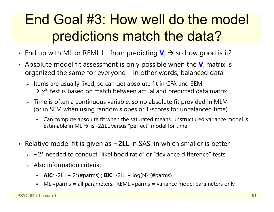#### End Goal #3: How well do the model predictions match the data?

- End up with ML or REML LL from predicting  $\mathbf{V}_\text{i} \rightarrow$  so how good is it?
- Absolute model fit assessment is only possible when the  $\mathbf{V}_{\text{i}}$  matrix is organized the same for everyone – in other words, balanced data
	- $\triangleright$  Items are usually fixed, so can get absolute fit in CFA and SEM  $\rightarrow$   $\chi^2$  test is based on match between actual and predicted data matrix
	- $\triangleright$  Time is often a continuous variable, so no absolute fit provided in MLM (or in SEM when using random slopes or T-scores for unbalanced time)
		- n Can compute absolute fit when the saturated means, unstructured variance model is estimable in ML  $\bm{\rightarrow}$  is -2∆LL versus "perfect" model for time
- Relative model fit is given as **<sup>−</sup>2LL** in SAS, in which smaller is better
	- −2\* needed to conduct "likelihood ratio" or "deviance difference" tests
	- $\triangleright$  Also information criteria:
		- **AIC**:  $-2LL + 2*(\#params)$ ; **BIC**:  $-2LL + log(N)*(#params)$
		- ML #parms = all parameters; REML #parms = variance model parameters only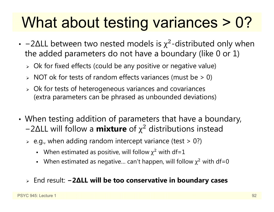## What about testing variances > 0?

- -2 $\Delta$ LL between two nested models is  $\chi^2$ -distributed only when the added parameters do not have a boundary (like 0 or 1)
	- $\triangleright$  Ok for fixed effects (could be any positive or negative value)
	- $\triangleright$  NOT ok for tests of random effects variances (must be  $>0$ )
	- Ok for tests of heterogeneous variances and covariances (extra parameters can be phrased as unbounded deviations)
- • When testing addition of parameters that have a boundary, − 2 ∆LL will follow a **mixture** of χ <sup>2</sup> distributions instead
	- $\triangleright$  e.g., when adding random intercept variance (test  $>$  0?)
		- When estimated as positive, will follow  $\chi^2$  with df=1
		- When estimated as negative... can't happen, will follow  $\chi^2$  with df=0
	- End result: **− 2 ∆LL will be too conservative in boundary cases**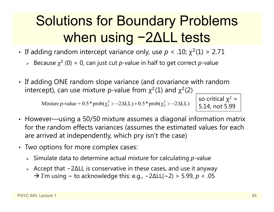#### Solutions for Boundary Problems when using 2 ∆LL tests

- If adding random intercept variance only, use  $p < .10$ ;  $\chi^2(1) > 2.71$ 
	- ► Because  $\chi^2$  (0) = 0, can just cut *p*-value in half to get correct *p*-value
- If adding ONE random slope variance (and covariance with random intercept), can use mixture p-value from  $\chi^2(1)$  and  $\chi^2(2)$

Mixture p-value =  $0.5*prob(\chi_1^2 > -2\Delta L L) + 0.5*prob(\chi_2^2 > -2\Delta L L)$ 

so critical χ<sup>2</sup> = 5.14, not 5.99

- However—using a 50/50 mixture assumes a diagonal information matrix for the random effects variances (assumes the estimated values for each are arrived at independently, which pry isn't the case)
- Two options for more complex cases:
	- Simulate data to determine actual mixture for calculating *p*-value
	- Accept that − 2 ∆LL is conservative in these cases, and use it anyway  $\rightarrow$  I'm using  $\sim$  to acknowledge this: e.g.,  $-2\Delta LL(\sim 2) > 5.99$ ,  $p < .05$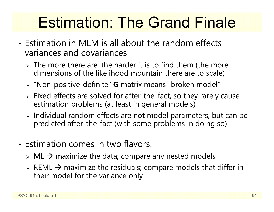## Estimation: The Grand Finale

- Estimation in MLM is all about the random effects variances and covariances
	- $\triangleright$  The more there are, the harder it is to find them (the more dimensions of the likelihood mountain there are to scale)
	- "Non-positive-definite" **G** matrix means "broken model"
	- Fixed effects are solved for after-the-fact, so they rarely cause estimation problems (at least in general models)
	- $\triangleright$  Individual random effects are not model parameters, but can be predicted after-the-fact (with some problems in doing so)
- Estimation comes in two flavors:
	- $\triangleright$  ML  $\rightarrow$  maximize the data; compare any nested models
	- $\triangleright$  REML  $\rightarrow$  maximize the residuals; compare models that differ in their model for the variance only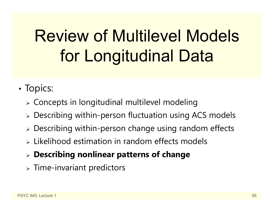# Review of Multilevel Models for Longitudinal Data

- •• Topics:
	- $\triangleright$  Concepts in longitudinal multilevel modeling
	- Describing within-person fluctuation using ACS models
	- Describing within-person change using random effects
	- $\triangleright$  Likelihood estimation in random effects models
	- **Describing nonlinear patterns of change**
	- $\triangleright$  Time-invariant predictors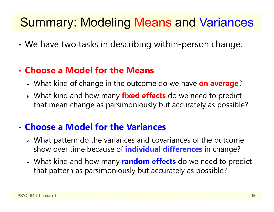#### Summary: Modeling Means and Variances

•We have two tasks in describing within-person change:

#### • **Choose a Model for the Means**

- What kind of change in the outcome do we have **on average** ?
- What kind and how many **fixed effects** do we need to predict that mean change as parsimoniously but accurately as possible?

#### • **Choose a Model for the Variances**

- What pattern do the variances and covariances of the outcome show over time because of **individual differences** in change?
- What kind and how many **random effects** do we need to predict that pattern as parsimoniously but accurately as possible?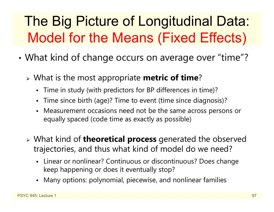### The Big Picture of Longitudinal Data: Model for the Means (Fixed Effects)

- • What kind of change occurs on average over "time"?
	- What is the most appropriate **metric of time** ?
		- Time in study (with predictors for BP differences in time)?
		- Time since birth (age)? Time to event (time since diagnosis)?
		- Measurement occasions need not be the same across persons or equally spaced (code time as exactly as possible)
	- What kind of **theoretical process** generated the observed trajectories, and thus what kind of model do we need?
		- Linear or nonlinear? Continuous or discontinuous? Does change keep happening or does it eventually stop?
		- Many options: polynomial, piecewise, and nonlinear families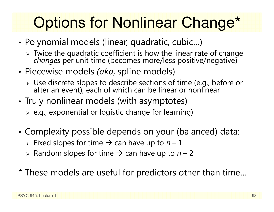# Options for Nonlinear Change\*

- • Polynomial models (linear, quadratic, cubic…)
	- Twice the quadratic coefficient is how the linear rate of change *changes* per unit time (becomes more/less positive/negative)
- • Piecewise models *(aka*, spline models)
	- Use discrete slopes to describe sections of time (e.g., before or after an event), each of which can be linear or nonlinear
- • Truly nonlinear models (with asymptotes)
	- $\triangleright$  e.g., exponential or logistic change for learning)
- • Complexity possible depends on your (balanced) data:
	- **► Fixed slopes for time → can have up to**  $n-1$
	- **► Random slopes for time → can have up to** *n* **2**
- \* These models are useful for predictors other than time…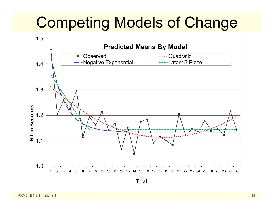# Competing Models of Change

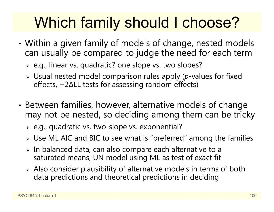# Which family should I choose?

- • Within a given family of models of change, nested models can usually be compared to judge the need for each term
	- e.g., linear vs. quadratic? one slope vs. two slopes?
	- Usual nested model comparison rules apply (*p*-values for fixed effects, − 2 ∆LL tests for assessing random effects)
- • Between families, however, alternative models of change may not be nested, so deciding among them can be tricky
	- e.g., quadratic vs. two-slope vs. exponential?
	- $\triangleright$  Use ML AIC and BIC to see what is "preferred" among the families
	- $\triangleright$  In balanced data, can also compare each alternative to a saturated means, UN model using ML as test of exact fit
	- Also consider plausibility of alternative models in terms of both data predictions and theoretical predictions in deciding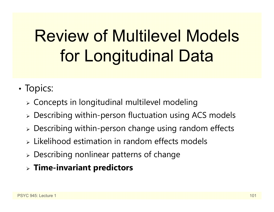# Review of Multilevel Models for Longitudinal Data

- •• Topics:
	- $\triangleright$  Concepts in longitudinal multilevel modeling
	- Describing within-person fluctuation using ACS models
	- Describing within-person change using random effects
	- $\triangleright$  Likelihood estimation in random effects models
	- Describing nonlinear patterns of change
	- **Time-invariant predictors**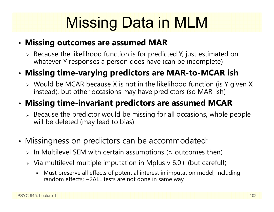# Missing Data in MLM

#### •**Missing outcomes are assumed MAR**

 $\triangleright$  Because the likelihood function is for predicted Y, just estimated on whatever Y responses a person does have (can be incomplete)

#### •**Missing time-varying predictors are MAR-to-MCAR ish**

 $\triangleright$  Would be MCAR because X is not in the likelihood function (is Y given X instead), but other occasions may have predictors (so MAR-ish)

#### •**Missing time-invariant predictors are assumed MCAR**

- $\triangleright$  Because the predictor would be missing for all occasions, whole people will be deleted (may lead to bias)
- • Missingness on predictors can be accommodated:
	- $\triangleright$  In Multilevel SEM with certain assumptions ( $\approx$  outcomes then)
	- $\triangleright$  Via multilevel multiple imputation in Mplus v 6.0+ (but careful!)
		- n Must preserve all effects of potential interest in imputation model, including random effects; − 2 ∆LL tests are not done in same way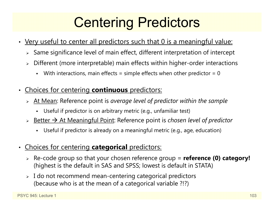### Centering Predictors

- Very useful to center all predictors such that 0 is a meaningful value:
	- $\triangleright$  Same significance level of main effect, different interpretation of intercept
	- Different (more interpretable) main effects within higher-order interactions
		- n With interactions, main effects = simple effects when other predictor =  $0$
- • Choices for centering **continuous** predictors:
	- At Mean: Reference point is *average level of predictor within the sample*
		- Useful if predictor is on arbitrary metric (e.g., unfamiliar test)
	- > <u>Better → At Meaningful Point</u>: Reference point is *chosen level of predictor* 
		- n Useful if predictor is already on a meaningful metric (e.g., age, education)
- • Choices for centering **categorical** predictors:
	- Re-code group so that your chosen reference group = **reference (0) category!** (highest is the default in SAS and SPSS; lowest is default in STATA)
	- $\triangleright\;$  I do not recommend mean-centering categorical predictors (because who is at the mean of a categorical variable ?!?)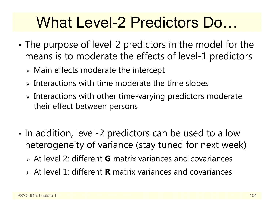## What Level-2 Predictors Do…

- • The purpose of level-2 predictors in the model for the means is to moderate the effects of level-1 predictors
	- $\triangleright$  Main effects moderate the intercept
	- $\triangleright$  Interactions with time moderate the time slopes
	- $\triangleright$  Interactions with other time-varying predictors moderate their effect between persons
- •• In addition, level-2 predictors can be used to allow heterogeneity of variance (stay tuned for next week)
	- At level 2: different **G** matrix variances and covariances
	- At level 1: different **R** matrix variances and covariances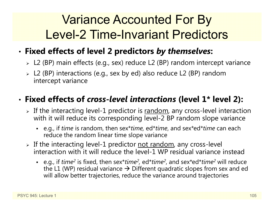#### Variance Accounted For By Level-2 Time-Invariant Predictors

#### •**Fixed effects of level 2 predictors** *by themselves***:**

- L2 (BP) main effects (e.g., sex) reduce L2 (BP) random intercept variance
- L2 (BP) interactions (e.g., sex by ed) also reduce L2 (BP) random intercept variance

#### • **Fixed effects of** *cross-level interactions* **(level 1\* level 2):**

- $\triangleright$  If the interacting level-1 predictor is  $\overline{\text{random}}$ , any cross-level interaction with it will reduce its corresponding level-2 BP random slope variance
	- e.g., if *time* is random, then sex\**time,* ed\**time*, and sex\*ed\**time* can each reduce the random linear time slope variance
- > If the interacting level-1 predictor <u>not random</u>, any cross-level interaction with it will reduce the level-1 WP residual variance instead
	- e.g., if *time<sup>2</sup>* is fixed, then sex\**time<sup>2</sup>,* ed\**time<sup>2</sup>,* and sex\*ed\**time<sup>2</sup> will reduce* the L1 (WP) residual variance  $\bm{\rightarrow}$  Different quadratic slopes from sex and ed will allow better trajectories, reduce the variance around trajectories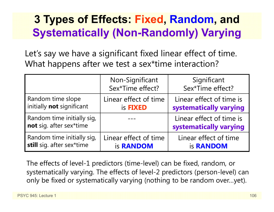#### **3 Types of Effects: Fixed, Random, and Systematically (Non-Randomly) Varying**

Let's say we have a significant fixed linear effect of time. What happens after we test a sex\*time interaction?

|                                                       | Non-Significant<br>Sex*Time effect? | Significant<br>Sex*Time effect?                    |
|-------------------------------------------------------|-------------------------------------|----------------------------------------------------|
| Random time slope                                     | Linear effect of time               | Linear effect of time is                           |
| initially not significant                             | is <b>FIXED</b>                     | systematically varying                             |
| Random time initially sig,<br>not sig. after sex*time |                                     | Linear effect of time is<br>systematically varying |
| Random time initially sig,                            | Linear effect of time               | Linear effect of time                              |
| still sig. after sex*time                             | is <b>RANDOM</b>                    | is <b>RANDOM</b>                                   |

The effects of level-1 predictors (time-level) can be fixed, random, or systematically varying. The effects of level-2 predictors (person-level) can only be fixed or systematically varying (nothing to be random over…yet).